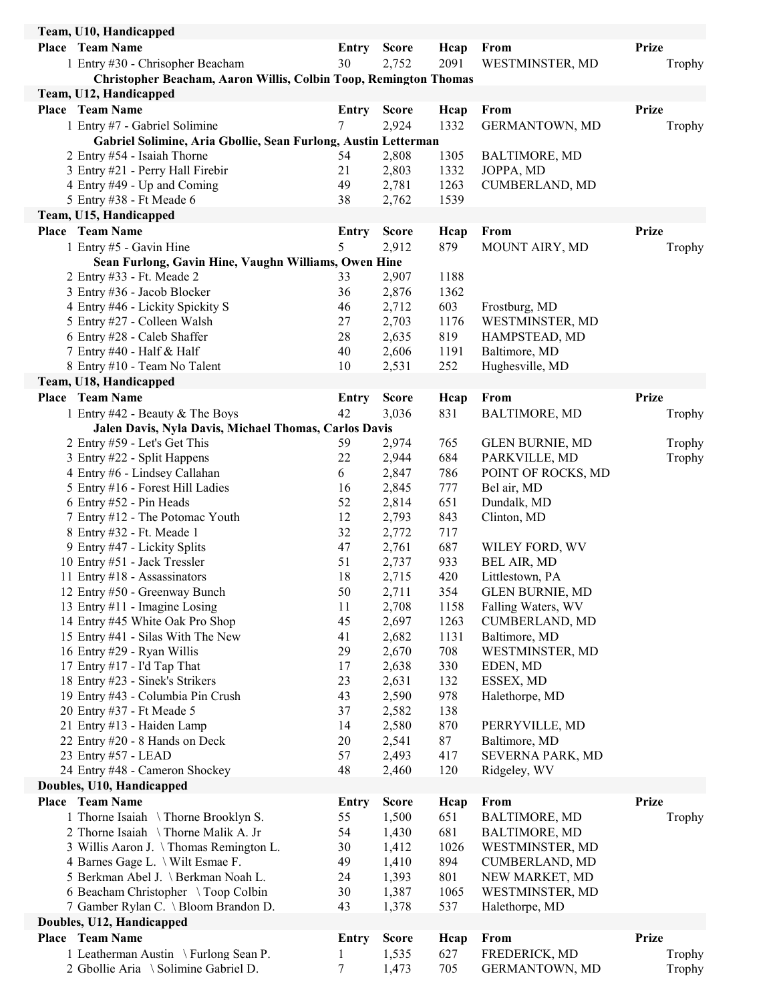| Team, U10, Handicapped                                                            |              |                |             |                        |              |
|-----------------------------------------------------------------------------------|--------------|----------------|-------------|------------------------|--------------|
| <b>Place Team Name</b>                                                            | Entry        | <b>Score</b>   | Heap        | From                   | <b>Prize</b> |
| 1 Entry #30 - Chrisopher Beacham                                                  | 30           | 2,752          | 2091        | WESTMINSTER, MD        | Trophy       |
| Christopher Beacham, Aaron Willis, Colbin Toop, Remington Thomas                  |              |                |             |                        |              |
| Team, U12, Handicapped                                                            |              |                |             |                        |              |
| <b>Place</b> Team Name                                                            | Entry        | <b>Score</b>   | Hcap        | From                   | <b>Prize</b> |
| 1 Entry #7 - Gabriel Solimine                                                     | 7            | 2,924          | 1332        | GERMANTOWN, MD         | Trophy       |
| Gabriel Solimine, Aria Gbollie, Sean Furlong, Austin Letterman                    |              |                |             |                        |              |
| 2 Entry #54 - Isaiah Thorne                                                       | 54           | 2,808          | 1305        | <b>BALTIMORE, MD</b>   |              |
| 3 Entry #21 - Perry Hall Firebir                                                  | 21           | 2,803          | 1332        | JOPPA, MD              |              |
| 4 Entry #49 - Up and Coming                                                       | 49           | 2,781          | 1263        | <b>CUMBERLAND, MD</b>  |              |
| 5 Entry #38 - Ft Meade 6                                                          | 38           | 2,762          | 1539        |                        |              |
| Team, U15, Handicapped                                                            |              |                |             |                        |              |
| <b>Place Team Name</b>                                                            | <b>Entry</b> | <b>Score</b>   | Hcap        | From                   | <b>Prize</b> |
| 1 Entry #5 - Gavin Hine                                                           | 5            | 2,912          | 879         | MOUNT AIRY, MD         | Trophy       |
| Sean Furlong, Gavin Hine, Vaughn Williams, Owen Hine<br>2 Entry #33 - Ft. Meade 2 | 33           | 2,907          | 1188        |                        |              |
| 3 Entry #36 - Jacob Blocker                                                       | 36           | 2,876          | 1362        |                        |              |
| 4 Entry #46 - Lickity Spickity S                                                  | 46           | 2,712          | 603         | Frostburg, MD          |              |
| 5 Entry #27 - Colleen Walsh                                                       | 27           | 2,703          | 1176        | WESTMINSTER, MD        |              |
| 6 Entry #28 - Caleb Shaffer                                                       | 28           | 2,635          | 819         | HAMPSTEAD, MD          |              |
| 7 Entry #40 - Half & Half                                                         | 40           | 2,606          | 1191        | Baltimore, MD          |              |
| 8 Entry #10 - Team No Talent                                                      | 10           | 2,531          | 252         | Hughesville, MD        |              |
| Team, U18, Handicapped                                                            |              |                |             |                        |              |
| Place Team Name                                                                   | Entry        | <b>Score</b>   | Hcap        | From                   | <b>Prize</b> |
| 1 Entry #42 - Beauty & The Boys                                                   | 42           | 3,036          | 831         | <b>BALTIMORE, MD</b>   | Trophy       |
| Jalen Davis, Nyla Davis, Michael Thomas, Carlos Davis                             |              |                |             |                        |              |
| 2 Entry #59 - Let's Get This                                                      | 59           | 2,974          | 765         | <b>GLEN BURNIE, MD</b> | Trophy       |
| 3 Entry #22 - Split Happens                                                       | 22           | 2,944          | 684         | PARKVILLE, MD          | Trophy       |
| 4 Entry #6 - Lindsey Callahan                                                     | 6            | 2,847          | 786         | POINT OF ROCKS, MD     |              |
| 5 Entry #16 - Forest Hill Ladies                                                  | 16           | 2,845          | 777         | Bel air, MD            |              |
| 6 Entry #52 - Pin Heads                                                           | 52           | 2,814          | 651         | Dundalk, MD            |              |
| 7 Entry #12 - The Potomac Youth                                                   | 12           | 2,793<br>2,772 | 843         | Clinton, MD            |              |
| 8 Entry #32 - Ft. Meade 1<br>9 Entry #47 - Lickity Splits                         | 32<br>47     | 2,761          | 717<br>687  | WILEY FORD, WV         |              |
| 10 Entry #51 - Jack Tressler                                                      | 51           | 2,737          | 933         | BEL AIR, MD            |              |
| 11 Entry #18 - Assassinators                                                      | 18           | 2,715          | 420         | Littlestown, PA        |              |
| 12 Entry #50 - Greenway Bunch                                                     | 50           | 2,711          | 354         | <b>GLEN BURNIE, MD</b> |              |
| 13 Entry #11 - Imagine Losing                                                     | 11           | 2,708          | 1158        | Falling Waters, WV     |              |
| 14 Entry #45 White Oak Pro Shop                                                   | 45           | 2,697          | 1263        | CUMBERLAND, MD         |              |
| 15 Entry #41 - Silas With The New                                                 | 41           | 2,682          | 1131        | Baltimore, MD          |              |
| 16 Entry #29 - Ryan Willis                                                        | 29           | 2,670          | 708         | WESTMINSTER, MD        |              |
| 17 Entry #17 - I'd Tap That                                                       | 17           | 2,638          | 330         | EDEN, MD               |              |
| 18 Entry #23 - Sinek's Strikers                                                   | 23           | 2,631          | 132         | ESSEX, MD              |              |
| 19 Entry #43 - Columbia Pin Crush                                                 | 43           | 2,590          | 978         | Halethorpe, MD         |              |
| 20 Entry #37 - Ft Meade 5                                                         | 37           | 2,582          | 138         |                        |              |
| 21 Entry #13 - Haiden Lamp                                                        | 14           | 2,580          | 870         | PERRYVILLE, MD         |              |
| 22 Entry #20 - 8 Hands on Deck                                                    | 20           | 2,541          | 87          | Baltimore, MD          |              |
| 23 Entry #57 - LEAD                                                               | 57           | 2,493          | 417         | SEVERNA PARK, MD       |              |
| 24 Entry #48 - Cameron Shockey<br>Doubles, U10, Handicapped                       | 48           | 2,460          | 120         | Ridgeley, WV           |              |
| <b>Place</b> Team Name                                                            |              | <b>Score</b>   |             | From                   | <b>Prize</b> |
| 1 Thorne Isaiah \ Thorne Brooklyn S.                                              | Entry<br>55  | 1,500          | Hcap<br>651 | <b>BALTIMORE, MD</b>   |              |
| 2 Thorne Isaiah \ Thorne Malik A. Jr                                              | 54           | 1,430          | 681         | <b>BALTIMORE, MD</b>   | Trophy       |
| 3 Willis Aaron J. \Thomas Remington L.                                            | 30           | 1,412          | 1026        | WESTMINSTER, MD        |              |
| 4 Barnes Gage L. \ Wilt Esmae F.                                                  | 49           | 1,410          | 894         | <b>CUMBERLAND, MD</b>  |              |
| 5 Berkman Abel J. \ Berkman Noah L.                                               | 24           | 1,393          | 801         | NEW MARKET, MD         |              |
| 6 Beacham Christopher \Toop Colbin                                                | 30           | 1,387          | 1065        | WESTMINSTER, MD        |              |
| 7 Gamber Rylan C. \ Bloom Brandon D.                                              | 43           | 1,378          | 537         | Halethorpe, MD         |              |
| Doubles, U12, Handicapped                                                         |              |                |             |                        |              |
| Place Team Name                                                                   | <b>Entry</b> | <b>Score</b>   | Hcap        | From                   | <b>Prize</b> |
| 1 Leatherman Austin \ Furlong Sean P.                                             | $\mathbf{1}$ | 1,535          | 627         | FREDERICK, MD          | Trophy       |
| 2 Gbollie Aria \ Solimine Gabriel D.                                              | $\tau$       | 1,473          | 705         | GERMANTOWN, MD         | Trophy       |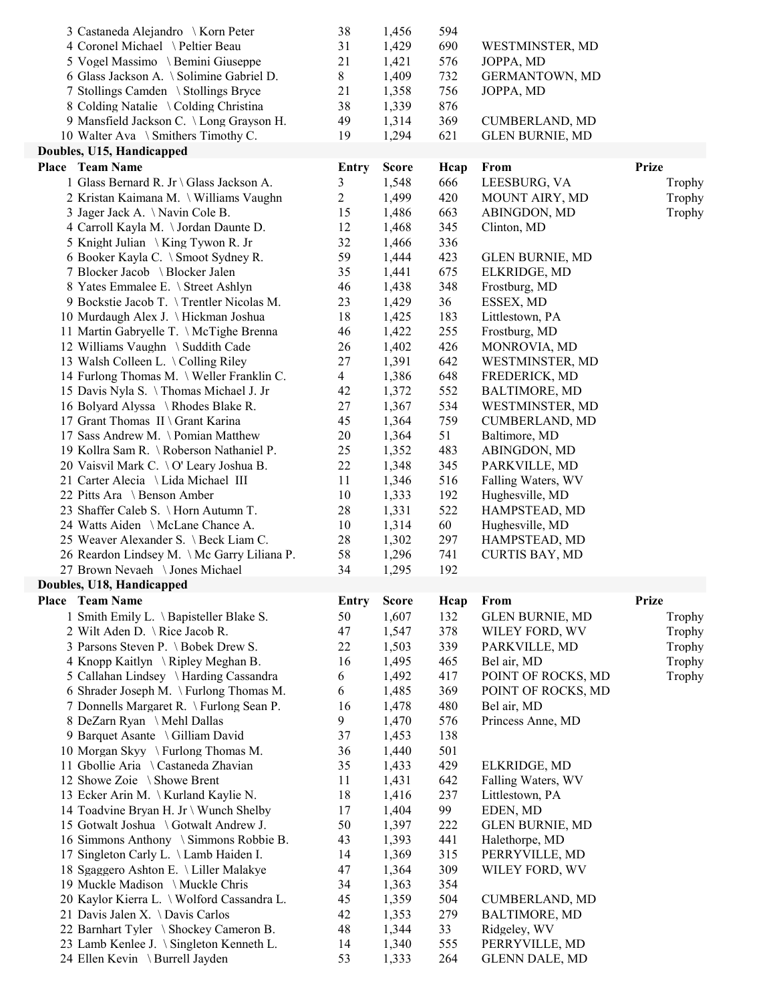| 3 Castaneda Alejandro \ Korn Peter                                              | 38             | 1,456          | 594        |                                          |              |
|---------------------------------------------------------------------------------|----------------|----------------|------------|------------------------------------------|--------------|
| 4 Coronel Michael \Peltier Beau                                                 | 31             | 1,429          | 690        | WESTMINSTER, MD                          |              |
| 5 Vogel Massimo \ Bemini Giuseppe                                               | 21             | 1,421          | 576        | JOPPA, MD                                |              |
| 6 Glass Jackson A. \ Solimine Gabriel D.                                        | 8              | 1,409          | 732        | GERMANTOWN, MD                           |              |
| 7 Stollings Camden \ Stollings Bryce                                            | 21             | 1,358          | 756        | JOPPA, MD                                |              |
| 8 Colding Natalie \ Colding Christina                                           | 38             | 1,339          | 876        |                                          |              |
| 9 Mansfield Jackson C. \Long Grayson H.                                         | 49             | 1,314          | 369        | <b>CUMBERLAND, MD</b>                    |              |
| 10 Walter Ava \ Smithers Timothy C.                                             | 19             | 1,294          | 621        | <b>GLEN BURNIE, MD</b>                   |              |
| Doubles, U15, Handicapped                                                       |                |                |            |                                          |              |
| <b>Place</b> Team Name                                                          | <b>Entry</b>   | <b>Score</b>   | Hcap       | From                                     | <b>Prize</b> |
| 1 Glass Bernard R. Jr \ Glass Jackson A.                                        | 3              | 1,548          | 666        | LEESBURG, VA                             | Trophy       |
| 2 Kristan Kaimana M. \ Williams Vaughn                                          | $\overline{c}$ | 1,499          | 420        | MOUNT AIRY, MD                           | Trophy       |
| 3 Jager Jack A. \Navin Cole B.                                                  | 15             | 1,486          | 663        | ABINGDON, MD                             | Trophy       |
| 4 Carroll Kayla M. \Jordan Daunte D.                                            | 12             | 1,468          | 345        | Clinton, MD                              |              |
| 5 Knight Julian \ King Tywon R. Jr                                              | 32             | 1,466          | 336        |                                          |              |
| 6 Booker Kayla C. \ Smoot Sydney R.                                             | 59             | 1,444          | 423        | <b>GLEN BURNIE, MD</b>                   |              |
| 7 Blocker Jacob \ Blocker Jalen                                                 | 35             | 1,441          | 675        | ELKRIDGE, MD                             |              |
| 8 Yates Emmalee E. \ Street Ashlyn                                              | 46             | 1,438          | 348        | Frostburg, MD                            |              |
| 9 Bockstie Jacob T. \Trentler Nicolas M.                                        | 23             | 1,429          | 36         | ESSEX, MD                                |              |
| 10 Murdaugh Alex J. \Hickman Joshua                                             | 18             | 1,425          | 183        | Littlestown, PA                          |              |
| 11 Martin Gabryelle T. \ McTighe Brenna                                         | 46             | 1,422          | 255        | Frostburg, MD                            |              |
| 12 Williams Vaughn \ Suddith Cade                                               | 26             | 1,402          | 426        | MONROVIA, MD                             |              |
| 13 Walsh Colleen L. \Colling Riley                                              | 27             | 1,391          | 642        | WESTMINSTER, MD                          |              |
| 14 Furlong Thomas M. \ Weller Franklin C.                                       | $\overline{4}$ | 1,386          | 648        | FREDERICK, MD                            |              |
| 15 Davis Nyla S. \Thomas Michael J. Jr                                          | 42             | 1,372          | 552        | <b>BALTIMORE, MD</b>                     |              |
| 16 Bolyard Alyssa \ Rhodes Blake R.                                             | 27             | 1,367          | 534        | WESTMINSTER, MD                          |              |
| 17 Grant Thomas II \ Grant Karina                                               | 45             | 1,364          | 759        | <b>CUMBERLAND, MD</b>                    |              |
| 17 Sass Andrew M. \ Pomian Matthew                                              | 20             | 1,364          | 51         | Baltimore, MD                            |              |
| 19 Kollra Sam R. \ Roberson Nathaniel P.                                        | 25             | 1,352          | 483        | ABINGDON, MD                             |              |
| 20 Vaisvil Mark C. \ O' Leary Joshua B.                                         | 22             | 1,348          | 345        | PARKVILLE, MD                            |              |
| 21 Carter Alecia \ Lida Michael III                                             | 11             | 1,346          | 516        | Falling Waters, WV                       |              |
| 22 Pitts Ara \ Benson Amber                                                     | 10             | 1,333          | 192        | Hughesville, MD                          |              |
| 23 Shaffer Caleb S. \Horn Autumn T.                                             | 28             | 1,331          | 522        | HAMPSTEAD, MD                            |              |
| 24 Watts Aiden \ McLane Chance A.<br>25 Weaver Alexander S. \ Beck Liam C.      | 10<br>28       | 1,314          | 60         | Hughesville, MD                          |              |
| 26 Reardon Lindsey M. \Mc Garry Liliana P.                                      | 58             | 1,302<br>1,296 | 297<br>741 | HAMPSTEAD, MD<br><b>CURTIS BAY, MD</b>   |              |
| 27 Brown Nevaeh \ Jones Michael                                                 | 34             | 1,295          | 192        |                                          |              |
| Doubles, U18, Handicapped                                                       |                |                |            |                                          |              |
| <b>Place Team Name</b>                                                          |                | <b>Score</b>   |            | From                                     | <b>Prize</b> |
|                                                                                 | <b>Entry</b>   |                | Hcap       |                                          |              |
| 1 Smith Emily L. \Bapisteller Blake S.<br>2 Wilt Aden D. \Rice Jacob R.         | 50<br>47       | 1,607<br>1,547 | 132<br>378 | <b>GLEN BURNIE, MD</b>                   | Trophy       |
| 3 Parsons Steven P. \Bobek Drew S.                                              |                |                |            |                                          |              |
|                                                                                 |                |                |            | WILEY FORD, WV                           | Trophy       |
|                                                                                 | 22             | 1,503          | 339        | PARKVILLE, MD                            | Trophy       |
| 4 Knopp Kaitlyn \ Ripley Meghan B.                                              | 16             | 1,495          | 465        | Bel air, MD                              | Trophy       |
| 5 Callahan Lindsey \ Harding Cassandra                                          | 6              | 1,492          | 417        | POINT OF ROCKS, MD                       | Trophy       |
| 6 Shrader Joseph M. \ Furlong Thomas M.                                         | 6              | 1,485          | 369        | POINT OF ROCKS, MD                       |              |
| 7 Donnells Margaret R. \ Furlong Sean P.                                        | 16             | 1,478          | 480        | Bel air, MD                              |              |
| 8 DeZarn Ryan \ Mehl Dallas                                                     | 9              | 1,470          | 576        | Princess Anne, MD                        |              |
| 9 Barquet Asante \ Gilliam David                                                | 37             | 1,453          | 138        |                                          |              |
| 10 Morgan Skyy \ Furlong Thomas M.                                              | 36             | 1,440          | 501        |                                          |              |
| 11 Gbollie Aria \ Castaneda Zhavian                                             | 35             | 1,433          | 429        | ELKRIDGE, MD                             |              |
| 12 Showe Zoie \ Showe Brent                                                     | 11             | 1,431          | 642        | Falling Waters, WV                       |              |
| 13 Ecker Arin M. \ Kurland Kaylie N.                                            | 18             | 1,416          | 237        | Littlestown, PA                          |              |
| 14 Toadvine Bryan H. Jr \ Wunch Shelby<br>15 Gotwalt Joshua \ Gotwalt Andrew J. | 17<br>50       | 1,404          | 99<br>222  | EDEN, MD                                 |              |
| 16 Simmons Anthony \ Simmons Robbie B.                                          | 43             | 1,397<br>1,393 | 441        | <b>GLEN BURNIE, MD</b><br>Halethorpe, MD |              |
| 17 Singleton Carly L. \ Lamb Haiden I.                                          | 14             | 1,369          | 315        | PERRYVILLE, MD                           |              |
| 18 Sgaggero Ashton E. \ Liller Malakye                                          | 47             | 1,364          | 309        | WILEY FORD, WV                           |              |
| 19 Muckle Madison \Muckle Chris                                                 | 34             | 1,363          | 354        |                                          |              |
| 20 Kaylor Kierra L. \ Wolford Cassandra L.                                      | 45             | 1,359          | 504        | <b>CUMBERLAND, MD</b>                    |              |
| 21 Davis Jalen X. \Davis Carlos                                                 | 42             | 1,353          | 279        | <b>BALTIMORE, MD</b>                     |              |
| 22 Barnhart Tyler \ Shockey Cameron B.                                          | 48             | 1,344          | 33         | Ridgeley, WV                             |              |
| 23 Lamb Kenlee J. \ Singleton Kenneth L.                                        | 14             | 1,340          | 555        | PERRYVILLE, MD                           |              |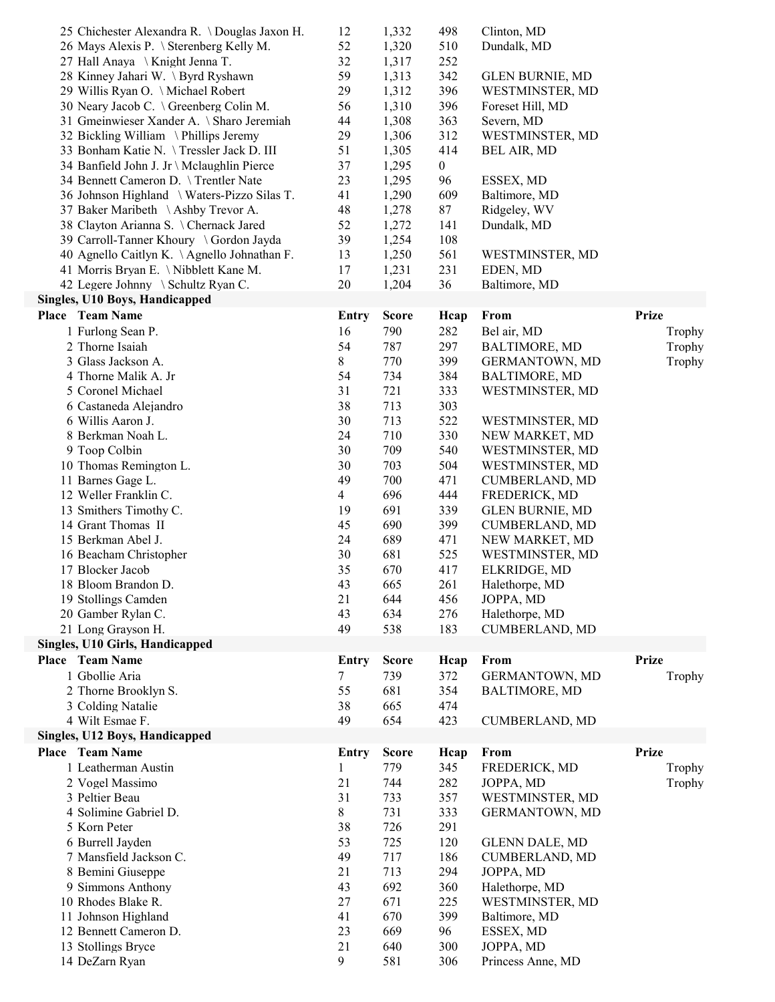|                                        | 25 Chichester Alexandra R. \Douglas Jaxon H. | 12             | 1,332        | 498              | Clinton, MD            |              |
|----------------------------------------|----------------------------------------------|----------------|--------------|------------------|------------------------|--------------|
|                                        | 26 Mays Alexis P. \ Sterenberg Kelly M.      | 52             | 1,320        | 510              | Dundalk, MD            |              |
| 27 Hall Anaya \ Knight Jenna T.        |                                              | 32             | 1,317        | 252              |                        |              |
| 28 Kinney Jahari W. \Byrd Ryshawn      |                                              | 59             | 1,313        | 342              | <b>GLEN BURNIE, MD</b> |              |
| 29 Willis Ryan O. \ Michael Robert     |                                              | 29             | 1,312        | 396              | WESTMINSTER, MD        |              |
| 30 Neary Jacob C. \ Greenberg Colin M. |                                              | 56             | 1,310        | 396              | Foreset Hill, MD       |              |
|                                        | 31 Gmeinwieser Xander A. \ Sharo Jeremiah    | 44             | 1,308        | 363              | Severn, MD             |              |
| 32 Bickling William \Phillips Jeremy   |                                              | 29             | 1,306        | 312              | WESTMINSTER, MD        |              |
|                                        | 33 Bonham Katie N. \Tressler Jack D. III     | 51             | 1,305        | 414              |                        |              |
|                                        |                                              |                |              |                  | BEL AIR, MD            |              |
|                                        | 34 Banfield John J. Jr \ Mclaughlin Pierce   | 37             | 1,295        | $\boldsymbol{0}$ |                        |              |
| 34 Bennett Cameron D. \ Trentler Nate  |                                              | 23             | 1,295        | 96               | ESSEX, MD              |              |
|                                        | 36 Johnson Highland \ Waters-Pizzo Silas T.  | 41             | 1,290        | 609              | Baltimore, MD          |              |
| 37 Baker Maribeth \Ashby Trevor A.     |                                              | 48             | 1,278        | 87               | Ridgeley, WV           |              |
| 38 Clayton Arianna S. \ Chernack Jared |                                              | 52             | 1,272        | 141              | Dundalk, MD            |              |
|                                        | 39 Carroll-Tanner Khoury \ Gordon Jayda      | 39             | 1,254        | 108              |                        |              |
|                                        | 40 Agnello Caitlyn K. \Agnello Johnathan F.  | 13             | 1,250        | 561              | WESTMINSTER, MD        |              |
| 41 Morris Bryan E. \ Nibblett Kane M.  |                                              | 17             | 1,231        | 231              | EDEN, MD               |              |
| 42 Legere Johnny \ Schultz Ryan C.     |                                              | 20             | 1,204        | 36               | Baltimore, MD          |              |
| Singles, U10 Boys, Handicapped         |                                              |                |              |                  |                        |              |
| <b>Place Team Name</b>                 |                                              | Entry          | <b>Score</b> | Hcap             | From                   | <b>Prize</b> |
| 1 Furlong Sean P.                      |                                              | 16             | 790          | 282              | Bel air, MD            | Trophy       |
| 2 Thorne Isaiah                        |                                              | 54             | 787          | 297              | <b>BALTIMORE, MD</b>   | Trophy       |
| 3 Glass Jackson A.                     |                                              |                | 770          |                  | <b>GERMANTOWN, MD</b>  |              |
| 4 Thorne Malik A. Jr                   |                                              | 8              |              | 399              |                        | Trophy       |
|                                        |                                              | 54             | 734          | 384              | <b>BALTIMORE, MD</b>   |              |
| 5 Coronel Michael                      |                                              | 31             | 721          | 333              | WESTMINSTER, MD        |              |
| 6 Castaneda Alejandro                  |                                              | 38             | 713          | 303              |                        |              |
| 6 Willis Aaron J.                      |                                              | 30             | 713          | 522              | WESTMINSTER, MD        |              |
| 8 Berkman Noah L.                      |                                              | 24             | 710          | 330              | NEW MARKET, MD         |              |
| 9 Toop Colbin                          |                                              | 30             | 709          | 540              | WESTMINSTER, MD        |              |
| 10 Thomas Remington L.                 |                                              | 30             | 703          | 504              | WESTMINSTER, MD        |              |
| 11 Barnes Gage L.                      |                                              | 49             | 700          | 471              | <b>CUMBERLAND, MD</b>  |              |
| 12 Weller Franklin C.                  |                                              | $\overline{4}$ | 696          | 444              | FREDERICK, MD          |              |
| 13 Smithers Timothy C.                 |                                              | 19             | 691          | 339              | <b>GLEN BURNIE, MD</b> |              |
| 14 Grant Thomas II                     |                                              | 45             | 690          | 399              | <b>CUMBERLAND, MD</b>  |              |
| 15 Berkman Abel J.                     |                                              | 24             | 689          | 471              | NEW MARKET, MD         |              |
| 16 Beacham Christopher                 |                                              | 30             | 681          | 525              | WESTMINSTER, MD        |              |
| 17 Blocker Jacob                       |                                              | 35             | 670          | 417              | ELKRIDGE, MD           |              |
| 18 Bloom Brandon D.                    |                                              | 43             | 665          | 261              | Halethorpe, MD         |              |
| 19 Stollings Camden                    |                                              | 21             | 644          | 456              | JOPPA, MD              |              |
| 20 Gamber Rylan C.                     |                                              | 43             | 634          | 276              | Halethorpe, MD         |              |
| 21 Long Grayson H.                     |                                              | 49             | 538          | 183              | <b>CUMBERLAND, MD</b>  |              |
|                                        |                                              |                |              |                  |                        |              |
| Singles, U10 Girls, Handicapped        |                                              |                |              |                  |                        |              |
| <b>Place</b> Team Name                 |                                              | Entry          | <b>Score</b> | Hcap             | From                   | <b>Prize</b> |
| 1 Gbollie Aria                         |                                              | 7              | 739          | 372              | <b>GERMANTOWN, MD</b>  | Trophy       |
| 2 Thorne Brooklyn S.                   |                                              | 55             | 681          | 354              | <b>BALTIMORE, MD</b>   |              |
| 3 Colding Natalie                      |                                              | 38             | 665          | 474              |                        |              |
| 4 Wilt Esmae F.                        |                                              | 49             | 654          | 423              | <b>CUMBERLAND, MD</b>  |              |
| Singles, U12 Boys, Handicapped         |                                              |                |              |                  |                        |              |
| <b>Place</b> Team Name                 |                                              | Entry          | <b>Score</b> | Hcap             | From                   | <b>Prize</b> |
| 1 Leatherman Austin                    |                                              | 1              | 779          | 345              | FREDERICK, MD          | Trophy       |
| 2 Vogel Massimo                        |                                              | 21             | 744          | 282              | JOPPA, MD              | Trophy       |
| 3 Peltier Beau                         |                                              | 31             | 733          | 357              | WESTMINSTER, MD        |              |
|                                        |                                              |                |              |                  |                        |              |
| 4 Solimine Gabriel D.                  |                                              | 8              | 731          | 333              | <b>GERMANTOWN, MD</b>  |              |
| 5 Korn Peter                           |                                              | 38             | 726          | 291              |                        |              |
| 6 Burrell Jayden                       |                                              | 53             | 725          | 120              | <b>GLENN DALE, MD</b>  |              |
| 7 Mansfield Jackson C.                 |                                              | 49             | 717          | 186              | <b>CUMBERLAND, MD</b>  |              |
| 8 Bemini Giuseppe                      |                                              | 21             | 713          | 294              | JOPPA, MD              |              |
| 9 Simmons Anthony                      |                                              | 43             | 692          | 360              | Halethorpe, MD         |              |
| 10 Rhodes Blake R.                     |                                              | 27             | 671          | 225              | WESTMINSTER, MD        |              |
| 11 Johnson Highland                    |                                              | 41             | 670          | 399              | Baltimore, MD          |              |
| 12 Bennett Cameron D.                  |                                              | 23             | 669          | 96               | ESSEX, MD              |              |
| 13 Stollings Bryce                     |                                              | 21             | 640          |                  |                        |              |
|                                        |                                              |                |              | 300              | JOPPA, MD              |              |
| 14 DeZarn Ryan                         |                                              | 9              | 581          | 306              | Princess Anne, MD      |              |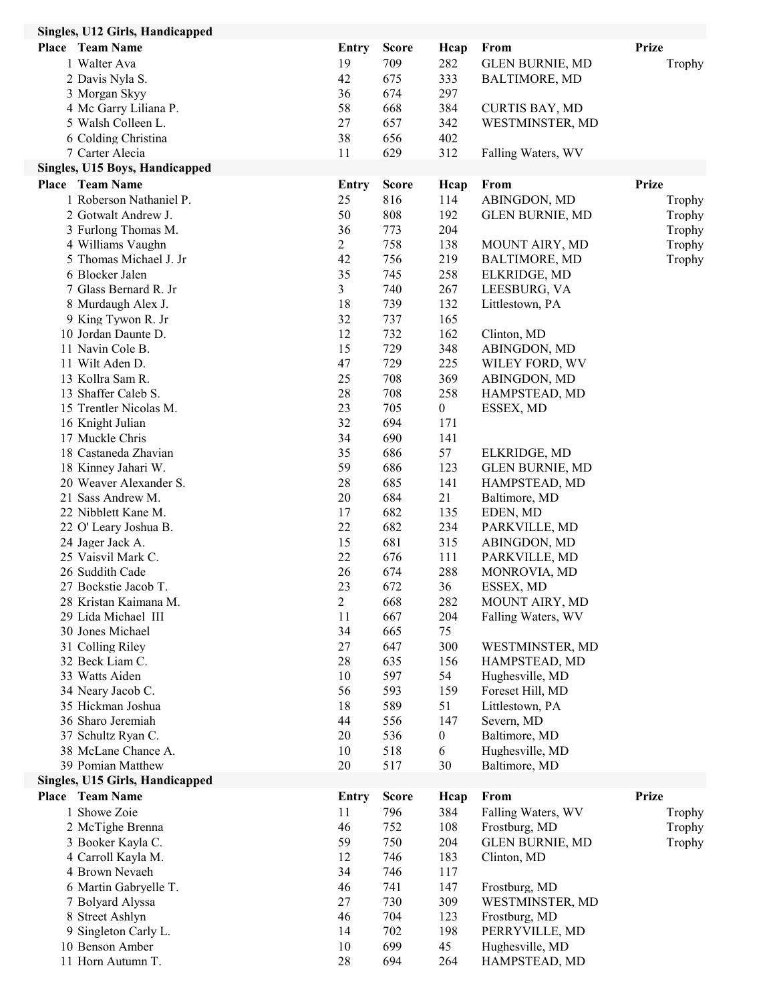| Singles, U12 Girls, Handicapped         |                      |              |                  |                             |              |
|-----------------------------------------|----------------------|--------------|------------------|-----------------------------|--------------|
| Place Team Name                         | <b>Entry</b>         | <b>Score</b> | Hcap             | From                        | <b>Prize</b> |
| 1 Walter Ava                            | 19                   | 709          | 282              | <b>GLEN BURNIE, MD</b>      | Trophy       |
| 2 Davis Nyla S.                         | 42                   | 675          | 333              | <b>BALTIMORE, MD</b>        |              |
| 3 Morgan Skyy                           | 36                   | 674          | 297              |                             |              |
| 4 Mc Garry Liliana P.                   | 58                   | 668          | 384              | <b>CURTIS BAY, MD</b>       |              |
| 5 Walsh Colleen L.                      | 27                   | 657          | 342              | WESTMINSTER, MD             |              |
| 6 Colding Christina                     | 38                   | 656          | 402              |                             |              |
| 7 Carter Alecia                         | 11                   | 629          | 312              | Falling Waters, WV          |              |
| Singles, U15 Boys, Handicapped          |                      |              |                  |                             |              |
| <b>Place</b> Team Name                  | Entry                | <b>Score</b> | Hcap             | From                        | <b>Prize</b> |
| 1 Roberson Nathaniel P.                 | 25                   | 816          | 114              | ABINGDON, MD                | Trophy       |
| 2 Gotwalt Andrew J.                     | 50                   | 808          | 192              | <b>GLEN BURNIE, MD</b>      | Trophy       |
| 3 Furlong Thomas M.                     | 36                   | 773          | 204              |                             | Trophy       |
| 4 Williams Vaughn                       | $\overline{c}$       | 758          | 138              | MOUNT AIRY, MD              | Trophy       |
| 5 Thomas Michael J. Jr                  | 42                   | 756          | 219              | <b>BALTIMORE, MD</b>        | Trophy       |
| 6 Blocker Jalen                         | 35                   | 745          | 258              | ELKRIDGE, MD                |              |
| 7 Glass Bernard R. Jr                   | $\overline{3}$       | 740          | 267              | LEESBURG, VA                |              |
| 8 Murdaugh Alex J.                      | 18                   | 739          | 132              | Littlestown, PA             |              |
| 9 King Tywon R. Jr                      | 32                   | 737          | 165              |                             |              |
| 10 Jordan Daunte D.                     | 12                   | 732          | 162              | Clinton, MD                 |              |
| 11 Navin Cole B.                        | 15                   | 729          | 348              | ABINGDON, MD                |              |
| 11 Wilt Aden D.                         | 47                   | 729          | 225              | WILEY FORD, WV              |              |
| 13 Kollra Sam R.                        | 25                   | 708          | 369              | ABINGDON, MD                |              |
| 13 Shaffer Caleb S.                     | 28                   | 708          | 258              | HAMPSTEAD, MD               |              |
| 15 Trentler Nicolas M.                  | 23                   | 705          | $\boldsymbol{0}$ | ESSEX, MD                   |              |
| 16 Knight Julian                        | 32                   | 694          | 171              |                             |              |
| 17 Muckle Chris                         | 34                   | 690          | 141              |                             |              |
| 18 Castaneda Zhavian                    | 35                   | 686          | 57               | ELKRIDGE, MD                |              |
| 18 Kinney Jahari W.                     | 59                   | 686          | 123              | <b>GLEN BURNIE, MD</b>      |              |
| 20 Weaver Alexander S.                  | 28                   | 685          | 141              | HAMPSTEAD, MD               |              |
| 21 Sass Andrew M.                       | 20                   | 684          | 21               | Baltimore, MD               |              |
| 22 Nibblett Kane M.                     | 17                   | 682          | 135              | EDEN, MD                    |              |
| 22 O' Leary Joshua B.                   | 22                   | 682          | 234              | PARKVILLE, MD               |              |
| 24 Jager Jack A.                        | 15                   | 681          | 315              | ABINGDON, MD                |              |
| 25 Vaisvil Mark C.                      | 22                   | 676          | 111              | PARKVILLE, MD               |              |
| 26 Suddith Cade<br>27 Bockstie Jacob T. | 26                   | 674          | 288              | MONROVIA, MD                |              |
| 28 Kristan Kaimana M.                   | 23<br>$\overline{2}$ | 672<br>668   | 36<br>282        | ESSEX, MD<br>MOUNT AIRY, MD |              |
| 29 Lida Michael III                     | 11                   | 667          | 204              | Falling Waters, WV          |              |
| 30 Jones Michael                        | 34                   | 665          | 75               |                             |              |
| 31 Colling Riley                        | 27                   | 647          | 300              | WESTMINSTER, MD             |              |
| 32 Beck Liam C.                         | 28                   | 635          | 156              | HAMPSTEAD, MD               |              |
| 33 Watts Aiden                          | 10                   | 597          | 54               | Hughesville, MD             |              |
| 34 Neary Jacob C.                       | 56                   | 593          | 159              | Foreset Hill, MD            |              |
| 35 Hickman Joshua                       | 18                   | 589          | 51               | Littlestown, PA             |              |
| 36 Sharo Jeremiah                       | 44                   | 556          | 147              | Severn, MD                  |              |
| 37 Schultz Ryan C.                      | 20                   | 536          | $\boldsymbol{0}$ | Baltimore, MD               |              |
| 38 McLane Chance A.                     | 10                   | 518          | 6                | Hughesville, MD             |              |
| 39 Pomian Matthew                       | 20                   | 517          | 30               | Baltimore, MD               |              |
| Singles, U15 Girls, Handicapped         |                      |              |                  |                             |              |
| <b>Place</b> Team Name                  | Entry                | <b>Score</b> | Hcap             | From                        | <b>Prize</b> |
| 1 Showe Zoie                            | 11                   | 796          | 384              | Falling Waters, WV          | Trophy       |
| 2 McTighe Brenna                        | 46                   | 752          | 108              | Frostburg, MD               | Trophy       |
| 3 Booker Kayla C.                       | 59                   | 750          | 204              | <b>GLEN BURNIE, MD</b>      | Trophy       |
| 4 Carroll Kayla M.                      | 12                   | 746          | 183              | Clinton, MD                 |              |
| 4 Brown Nevaeh                          | 34                   | 746          | 117              |                             |              |
| 6 Martin Gabryelle T.                   | 46                   | 741          | 147              | Frostburg, MD               |              |
| 7 Bolyard Alyssa                        | 27                   | 730          | 309              | WESTMINSTER, MD             |              |
| 8 Street Ashlyn                         | 46                   | 704          | 123              | Frostburg, MD               |              |
| 9 Singleton Carly L.                    | 14                   | 702          | 198              | PERRYVILLE, MD              |              |
| 10 Benson Amber                         | 10                   | 699          | 45               | Hughesville, MD             |              |
| 11 Horn Autumn T.                       | 28                   | 694          | 264              | HAMPSTEAD, MD               |              |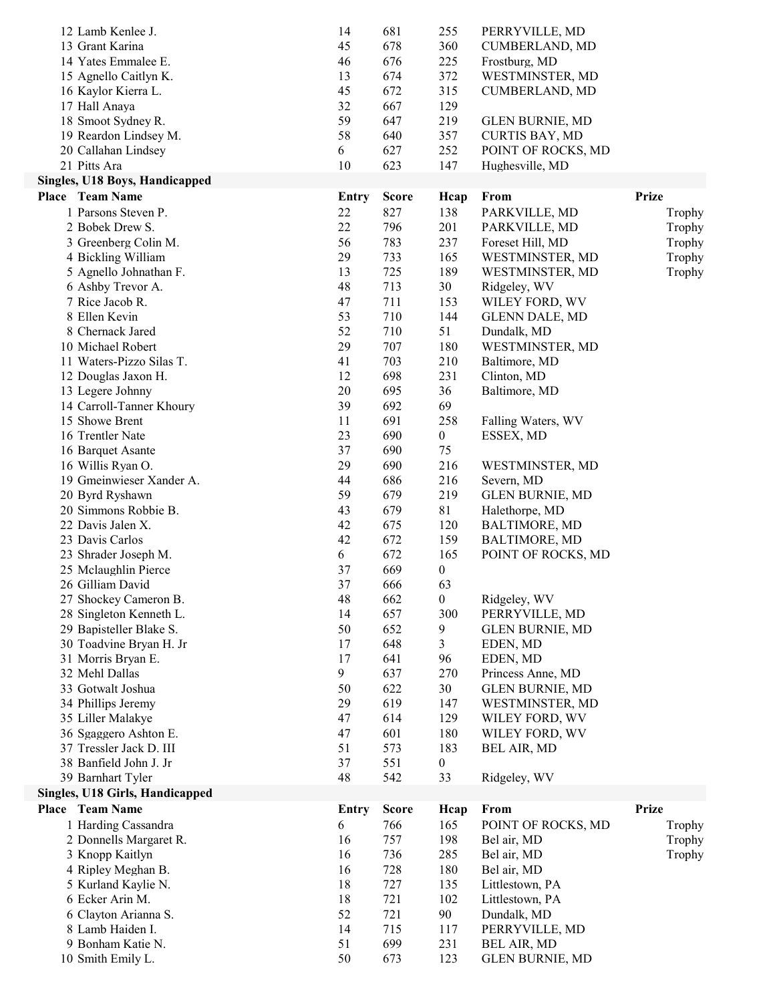| 12 Lamb Kenlee J.                                         | 14       | 681          | 255              | PERRYVILLE, MD                 |              |
|-----------------------------------------------------------|----------|--------------|------------------|--------------------------------|--------------|
| 13 Grant Karina                                           | 45       | 678          | 360              | <b>CUMBERLAND, MD</b>          |              |
| 14 Yates Emmalee E.                                       | 46       | 676          | 225              | Frostburg, MD                  |              |
| 15 Agnello Caitlyn K.                                     | 13       | 674          | 372              | WESTMINSTER, MD                |              |
| 16 Kaylor Kierra L.                                       | 45       | 672          | 315              | <b>CUMBERLAND, MD</b>          |              |
| 17 Hall Anaya                                             | 32       | 667          | 129              |                                |              |
| 18 Smoot Sydney R.                                        | 59       | 647          | 219              | <b>GLEN BURNIE, MD</b>         |              |
| 19 Reardon Lindsey M.                                     | 58       | 640          | 357              | <b>CURTIS BAY, MD</b>          |              |
| 20 Callahan Lindsey                                       | 6        | 627          | 252              | POINT OF ROCKS, MD             |              |
| 21 Pitts Ara                                              | 10       | 623          | 147              | Hughesville, MD                |              |
| Singles, U18 Boys, Handicapped                            |          |              |                  |                                |              |
| <b>Place</b> Team Name                                    | Entry    | <b>Score</b> | Heap             | From                           | <b>Prize</b> |
| 1 Parsons Steven P.                                       | 22       | 827          | 138              | PARKVILLE, MD                  | Trophy       |
| 2 Bobek Drew S.                                           | 22       | 796          | 201              | PARKVILLE, MD                  | Trophy       |
| 3 Greenberg Colin M.                                      | 56       | 783          | 237              | Foreset Hill, MD               | Trophy       |
| 4 Bickling William                                        | 29       | 733          | 165              | WESTMINSTER, MD                | Trophy       |
| 5 Agnello Johnathan F.                                    | 13       | 725          | 189              | WESTMINSTER, MD                | Trophy       |
| 6 Ashby Trevor A.                                         | 48       | 713          | 30               | Ridgeley, WV                   |              |
| 7 Rice Jacob R.                                           | 47       | 711          | 153              | WILEY FORD, WV                 |              |
| 8 Ellen Kevin                                             | 53       | 710          | 144              | <b>GLENN DALE, MD</b>          |              |
| 8 Chernack Jared                                          | 52       | 710          | 51               | Dundalk, MD                    |              |
| 10 Michael Robert                                         | 29       | 707          | 180              | WESTMINSTER, MD                |              |
| 11 Waters-Pizzo Silas T.                                  | 41       | 703          | 210              | Baltimore, MD                  |              |
| 12 Douglas Jaxon H.                                       | 12       | 698          | 231              | Clinton, MD                    |              |
| 13 Legere Johnny                                          | 20       | 695          | 36               | Baltimore, MD                  |              |
| 14 Carroll-Tanner Khoury                                  | 39       | 692          | 69               |                                |              |
| 15 Showe Brent                                            | 11       | 691          | 258              | Falling Waters, WV             |              |
| 16 Trentler Nate                                          | 23       | 690          | $\boldsymbol{0}$ | ESSEX, MD                      |              |
| 16 Barquet Asante                                         | 37       | 690          | 75               |                                |              |
| 16 Willis Ryan O.                                         | 29       | 690          | 216              | WESTMINSTER, MD                |              |
| 19 Gmeinwieser Xander A.                                  | 44       | 686          | 216              | Severn, MD                     |              |
| 20 Byrd Ryshawn                                           | 59       | 679          | 219              | <b>GLEN BURNIE, MD</b>         |              |
| 20 Simmons Robbie B.                                      | 43       | 679          | 81               | Halethorpe, MD                 |              |
| 22 Davis Jalen X.                                         | 42       | 675          | 120              | <b>BALTIMORE, MD</b>           |              |
| 23 Davis Carlos                                           | 42       | 672          | 159              | <b>BALTIMORE, MD</b>           |              |
| 23 Shrader Joseph M.                                      | 6        | 672          | 165              | POINT OF ROCKS, MD             |              |
| 25 Mclaughlin Pierce                                      | 37       | 669          | $\boldsymbol{0}$ |                                |              |
| 26 Gilliam David                                          | 37       | 666          | 63               |                                |              |
| 27 Shockey Cameron B.                                     | 48       | 662          | $\boldsymbol{0}$ | Ridgeley, WV                   |              |
| 28 Singleton Kenneth L.                                   | 14       | 657          | 300              | PERRYVILLE, MD                 |              |
| 29 Bapisteller Blake S.                                   | 50       | 652          | 9                | <b>GLEN BURNIE, MD</b>         |              |
| 30 Toadvine Bryan H. Jr                                   | 17       | 648          | 3                | EDEN, MD                       |              |
| 31 Morris Bryan E.                                        | 17       | 641          | 96               | EDEN, MD                       |              |
| 32 Mehl Dallas<br>33 Gotwalt Joshua                       | 9        | 637          | 270              | Princess Anne, MD              |              |
|                                                           | 50       | 622          | 30               | <b>GLEN BURNIE, MD</b>         |              |
| 34 Phillips Jeremy                                        | 29<br>47 | 619<br>614   | 147<br>129       | WESTMINSTER, MD                |              |
| 35 Liller Malakye                                         |          |              |                  | WILEY FORD, WV                 |              |
| 36 Sgaggero Ashton E.<br>37 Tressler Jack D. III          | 47       | 601          | 180              | WILEY FORD, WV                 |              |
| 38 Banfield John J. Jr                                    | 51       | 573          | 183              | BEL AIR, MD                    |              |
|                                                           | 37       | 551          | $\boldsymbol{0}$ |                                |              |
| 39 Barnhart Tyler                                         | 48       | 542          | 33               | Ridgeley, WV                   |              |
| Singles, U18 Girls, Handicapped<br><b>Place</b> Team Name |          |              |                  |                                | <b>Prize</b> |
|                                                           | Entry    | <b>Score</b> | Heap             | From                           |              |
| 1 Harding Cassandra                                       | 6        | 766          | 165              | POINT OF ROCKS, MD             | Trophy       |
| 2 Donnells Margaret R.                                    | 16       | 757          | 198              | Bel air, MD                    | Trophy       |
| 3 Knopp Kaitlyn                                           | 16       | 736          | 285              | Bel air, MD                    | Trophy       |
| 4 Ripley Meghan B.                                        | 16       | 728          | 180              | Bel air, MD                    |              |
| 5 Kurland Kaylie N.<br>6 Ecker Arin M.                    | 18       | 727          | 135              | Littlestown, PA                |              |
| 6 Clayton Arianna S.                                      | 18<br>52 | 721          | 102<br>90        | Littlestown, PA<br>Dundalk, MD |              |
| 8 Lamb Haiden I.                                          | 14       | 721<br>715   | 117              |                                |              |
| 9 Bonham Katie N.                                         | 51       | 699          | 231              | PERRYVILLE, MD<br>BEL AIR, MD  |              |
| 10 Smith Emily L.                                         | 50       | 673          | 123              | <b>GLEN BURNIE, MD</b>         |              |
|                                                           |          |              |                  |                                |              |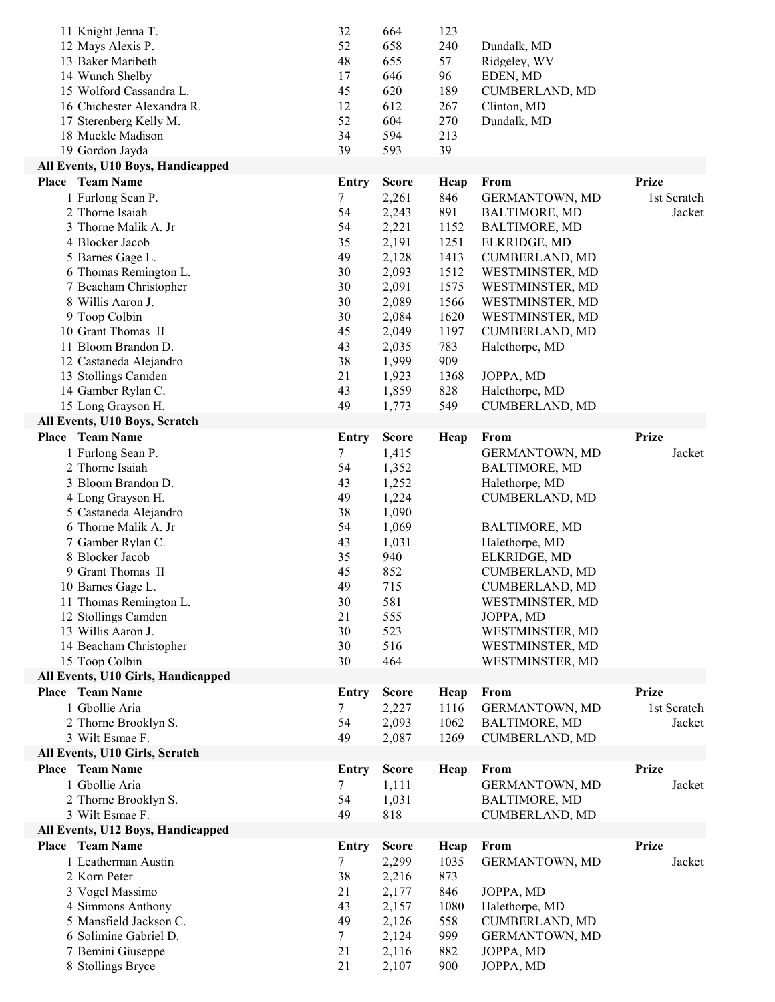| 11 Knight Jenna T.<br>12 Mays Alexis P.<br>13 Baker Maribeth<br>14 Wunch Shelby<br>15 Wolford Cassandra L.<br>16 Chichester Alexandra R.<br>17 Sterenberg Kelly M.<br>18 Muckle Madison<br>19 Gordon Jayda | 32<br>52<br>48<br>17<br>45<br>12<br>52<br>34<br>39 | 664<br>658<br>655<br>646<br>620<br>612<br>604<br>594<br>593 | 123<br>240<br>57<br>96<br>189<br>267<br>270<br>213<br>39 | Dundalk, MD<br>Ridgeley, WV<br>EDEN, MD<br><b>CUMBERLAND, MD</b><br>Clinton, MD<br>Dundalk, MD |              |
|------------------------------------------------------------------------------------------------------------------------------------------------------------------------------------------------------------|----------------------------------------------------|-------------------------------------------------------------|----------------------------------------------------------|------------------------------------------------------------------------------------------------|--------------|
| All Events, U10 Boys, Handicapped                                                                                                                                                                          |                                                    |                                                             |                                                          |                                                                                                |              |
| <b>Place</b> Team Name                                                                                                                                                                                     | <b>Entry</b>                                       | <b>Score</b>                                                | Hcap                                                     | From                                                                                           | <b>Prize</b> |
| 1 Furlong Sean P.                                                                                                                                                                                          | 7                                                  | 2,261                                                       | 846                                                      | <b>GERMANTOWN, MD</b>                                                                          | 1st Scratch  |
| 2 Thorne Isaiah                                                                                                                                                                                            | 54                                                 | 2,243                                                       | 891                                                      | <b>BALTIMORE, MD</b>                                                                           | Jacket       |
| 3 Thorne Malik A. Jr                                                                                                                                                                                       | 54                                                 | 2,221                                                       | 1152                                                     | <b>BALTIMORE, MD</b>                                                                           |              |
| 4 Blocker Jacob                                                                                                                                                                                            | 35                                                 | 2,191                                                       | 1251                                                     | ELKRIDGE, MD                                                                                   |              |
| 5 Barnes Gage L.                                                                                                                                                                                           | 49                                                 | 2,128                                                       | 1413                                                     | <b>CUMBERLAND, MD</b>                                                                          |              |
| 6 Thomas Remington L.                                                                                                                                                                                      | 30                                                 | 2,093                                                       | 1512                                                     | WESTMINSTER, MD                                                                                |              |
| 7 Beacham Christopher                                                                                                                                                                                      | 30                                                 | 2,091                                                       | 1575                                                     | WESTMINSTER, MD                                                                                |              |
| 8 Willis Aaron J.                                                                                                                                                                                          | 30                                                 | 2,089                                                       | 1566                                                     | WESTMINSTER, MD                                                                                |              |
| 9 Toop Colbin                                                                                                                                                                                              | 30                                                 | 2,084                                                       | 1620                                                     | WESTMINSTER, MD                                                                                |              |
| 10 Grant Thomas II<br>11 Bloom Brandon D.                                                                                                                                                                  | 45<br>43                                           | 2,049                                                       | 1197<br>783                                              | CUMBERLAND, MD                                                                                 |              |
| 12 Castaneda Alejandro                                                                                                                                                                                     | 38                                                 | 2,035<br>1,999                                              | 909                                                      | Halethorpe, MD                                                                                 |              |
| 13 Stollings Camden                                                                                                                                                                                        | 21                                                 | 1,923                                                       | 1368                                                     | JOPPA, MD                                                                                      |              |
| 14 Gamber Rylan C.                                                                                                                                                                                         | 43                                                 | 1,859                                                       | 828                                                      | Halethorpe, MD                                                                                 |              |
| 15 Long Grayson H.                                                                                                                                                                                         | 49                                                 | 1,773                                                       | 549                                                      | CUMBERLAND, MD                                                                                 |              |
| All Events, U10 Boys, Scratch                                                                                                                                                                              |                                                    |                                                             |                                                          |                                                                                                |              |
| <b>Place</b> Team Name                                                                                                                                                                                     | Entry                                              | <b>Score</b>                                                | Hcap                                                     | From                                                                                           | <b>Prize</b> |
| 1 Furlong Sean P.                                                                                                                                                                                          | 7                                                  | 1,415                                                       |                                                          | GERMANTOWN, MD                                                                                 | Jacket       |
| 2 Thorne Isaiah                                                                                                                                                                                            | 54                                                 | 1,352                                                       |                                                          | <b>BALTIMORE, MD</b>                                                                           |              |
| 3 Bloom Brandon D.                                                                                                                                                                                         | 43                                                 | 1,252                                                       |                                                          | Halethorpe, MD                                                                                 |              |
| 4 Long Grayson H.                                                                                                                                                                                          | 49                                                 | 1,224                                                       |                                                          | <b>CUMBERLAND, MD</b>                                                                          |              |
| 5 Castaneda Alejandro                                                                                                                                                                                      | 38                                                 | 1,090                                                       |                                                          |                                                                                                |              |
| 6 Thorne Malik A. Jr                                                                                                                                                                                       | 54                                                 | 1,069                                                       |                                                          | <b>BALTIMORE, MD</b>                                                                           |              |
| 7 Gamber Rylan C.                                                                                                                                                                                          | 43                                                 | 1,031                                                       |                                                          | Halethorpe, MD                                                                                 |              |
| 8 Blocker Jacob                                                                                                                                                                                            | 35                                                 | 940                                                         |                                                          | ELKRIDGE, MD                                                                                   |              |
| 9 Grant Thomas II<br>10 Barnes Gage L.                                                                                                                                                                     | 45<br>49                                           | 852<br>715                                                  |                                                          | <b>CUMBERLAND, MD</b><br><b>CUMBERLAND, MD</b>                                                 |              |
| 11 Thomas Remington L.                                                                                                                                                                                     | 30                                                 | 581                                                         |                                                          | WESTMINSTER, MD                                                                                |              |
| 12 Stollings Camden                                                                                                                                                                                        | 21                                                 | 555                                                         |                                                          | JOPPA, MD                                                                                      |              |
| 13 Willis Aaron J.                                                                                                                                                                                         | 30                                                 | 523                                                         |                                                          | WESTMINSTER, MD                                                                                |              |
| 14 Beacham Christopher                                                                                                                                                                                     | 30                                                 | 516                                                         |                                                          | WESTMINSTER, MD                                                                                |              |
| 15 Toop Colbin                                                                                                                                                                                             | 30                                                 | 464                                                         |                                                          | WESTMINSTER, MD                                                                                |              |
| All Events, U10 Girls, Handicapped                                                                                                                                                                         |                                                    |                                                             |                                                          |                                                                                                |              |
| <b>Place</b> Team Name                                                                                                                                                                                     | <b>Entry</b>                                       | <b>Score</b>                                                | Heap                                                     | From                                                                                           | <b>Prize</b> |
| 1 Gbollie Aria                                                                                                                                                                                             | 7                                                  | 2,227                                                       | 1116                                                     | GERMANTOWN, MD                                                                                 | 1st Scratch  |
| 2 Thorne Brooklyn S.                                                                                                                                                                                       | 54                                                 | 2,093                                                       | 1062                                                     | <b>BALTIMORE, MD</b>                                                                           | Jacket       |
| 3 Wilt Esmae F.                                                                                                                                                                                            | 49                                                 | 2,087                                                       | 1269                                                     | CUMBERLAND, MD                                                                                 |              |
| All Events, U10 Girls, Scratch                                                                                                                                                                             |                                                    |                                                             |                                                          |                                                                                                |              |
| <b>Place</b> Team Name                                                                                                                                                                                     | <b>Entry</b>                                       | <b>Score</b>                                                | Hcap                                                     | From                                                                                           | <b>Prize</b> |
| 1 Gbollie Aria                                                                                                                                                                                             | 7                                                  | 1,111                                                       |                                                          | GERMANTOWN, MD                                                                                 | Jacket       |
| 2 Thorne Brooklyn S.                                                                                                                                                                                       | 54                                                 | 1,031                                                       |                                                          | <b>BALTIMORE, MD</b>                                                                           |              |
| 3 Wilt Esmae F.                                                                                                                                                                                            | 49                                                 | 818                                                         |                                                          | <b>CUMBERLAND, MD</b>                                                                          |              |
| All Events, U12 Boys, Handicapped<br><b>Place</b> Team Name                                                                                                                                                | Entry                                              | <b>Score</b>                                                | Hcap                                                     | From                                                                                           | <b>Prize</b> |
| 1 Leatherman Austin                                                                                                                                                                                        | 7                                                  | 2,299                                                       | 1035                                                     | GERMANTOWN, MD                                                                                 | Jacket       |
| 2 Korn Peter                                                                                                                                                                                               | 38                                                 | 2,216                                                       | 873                                                      |                                                                                                |              |
| 3 Vogel Massimo                                                                                                                                                                                            | 21                                                 | 2,177                                                       | 846                                                      | JOPPA, MD                                                                                      |              |
| 4 Simmons Anthony                                                                                                                                                                                          | 43                                                 | 2,157                                                       | 1080                                                     | Halethorpe, MD                                                                                 |              |
| 5 Mansfield Jackson C.                                                                                                                                                                                     | 49                                                 | 2,126                                                       | 558                                                      | <b>CUMBERLAND, MD</b>                                                                          |              |
| 6 Solimine Gabriel D.                                                                                                                                                                                      | 7                                                  | 2,124                                                       | 999                                                      | GERMANTOWN, MD                                                                                 |              |
| 7 Bemini Giuseppe                                                                                                                                                                                          | 21                                                 | 2,116                                                       | 882                                                      | JOPPA, MD                                                                                      |              |
|                                                                                                                                                                                                            | 21                                                 |                                                             |                                                          |                                                                                                |              |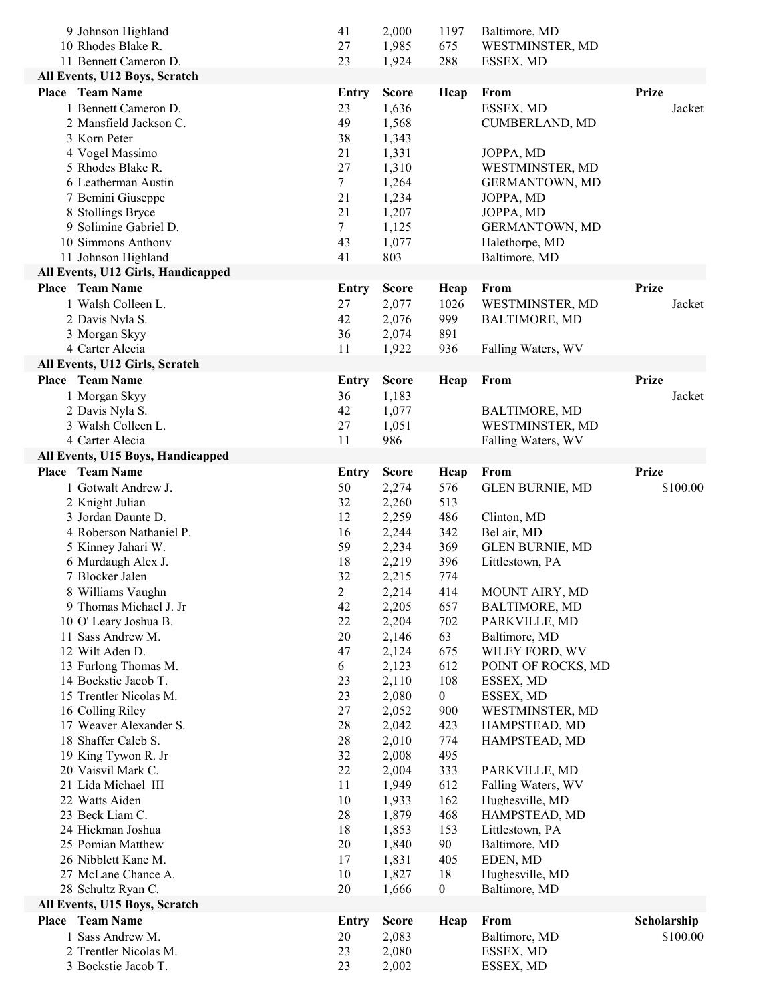| 11 Bennett Cameron D.<br>23<br>288<br>1,924<br>ESSEX, MD<br>All Events, U12 Boys, Scratch<br><b>Place</b> Team Name<br><b>Prize</b><br><b>Score</b><br>From<br><b>Entry</b><br>Heap<br>1 Bennett Cameron D.<br>1,636<br>ESSEX, MD<br>23<br>Jacket<br>49<br>1,568<br>CUMBERLAND, MD<br>2 Mansfield Jackson C.<br>3 Korn Peter<br>38<br>1,343<br>4 Vogel Massimo<br>21<br>1,331<br>JOPPA, MD<br>27<br>5 Rhodes Blake R.<br>1,310<br>WESTMINSTER, MD<br>7<br>6 Leatherman Austin<br>1,264<br><b>GERMANTOWN, MD</b><br>7 Bemini Giuseppe<br>21<br>1,234<br>JOPPA, MD<br>21<br>8 Stollings Bryce<br>1,207<br>JOPPA, MD<br>9 Solimine Gabriel D.<br>7<br>1,125<br>GERMANTOWN, MD<br>10 Simmons Anthony<br>43<br>1,077<br>Halethorpe, MD<br>11 Johnson Highland<br>41<br>803<br>Baltimore, MD<br>All Events, U12 Girls, Handicapped<br><b>Prize</b><br><b>Place</b> Team Name<br>From<br><b>Entry</b><br><b>Score</b><br>Hcap<br>1 Walsh Colleen L.<br>2,077<br>WESTMINSTER, MD<br>27<br>1026<br>Jacket<br>2 Davis Nyla S.<br>42<br>2,076<br>999<br><b>BALTIMORE, MD</b><br>3 Morgan Skyy<br>36<br>2,074<br>891<br>4 Carter Alecia<br>11<br>1,922<br>936<br>Falling Waters, WV<br>All Events, U12 Girls, Scratch<br><b>Place</b> Team Name<br><b>Prize</b><br>From<br><b>Entry</b><br><b>Score</b><br>Heap<br>1 Morgan Skyy<br>1,183<br>36<br>Jacket<br>2 Davis Nyla S.<br>42<br>1,077<br><b>BALTIMORE, MD</b><br>3 Walsh Colleen L.<br>WESTMINSTER, MD<br>27<br>1,051<br>4 Carter Alecia<br>11<br>986<br>Falling Waters, WV<br>All Events, U15 Boys, Handicapped<br>Place Team Name<br><b>Prize</b><br><b>Score</b><br>From<br><b>Entry</b><br>Hcap<br>1 Gotwalt Andrew J.<br>2,274<br><b>GLEN BURNIE, MD</b><br>\$100.00<br>50<br>576<br>32<br>2,260<br>513<br>2 Knight Julian<br>3 Jordan Daunte D.<br>12<br>2,259<br>486<br>Clinton, MD<br>4 Roberson Nathaniel P.<br>16<br>2,244<br>342<br>Bel air, MD<br>5 Kinney Jahari W.<br>59<br>2,234<br>369<br><b>GLEN BURNIE, MD</b><br>6 Murdaugh Alex J.<br>18<br>2,219<br>396<br>Littlestown, PA<br>32<br>7 Blocker Jalen<br>774<br>2,215<br>8 Williams Vaughn<br>$\overline{c}$<br>2,214<br>MOUNT AIRY, MD<br>414<br>9 Thomas Michael J. Jr<br>42<br>2,205<br>657<br><b>BALTIMORE, MD</b><br>10 O' Leary Joshua B.<br>22<br>2,204<br>702<br>PARKVILLE, MD<br>20<br>2,146<br>63<br>11 Sass Andrew M.<br>Baltimore, MD<br>12 Wilt Aden D.<br>47<br>2,124<br>WILEY FORD, WV<br>675<br>6<br>2,123<br>612<br>13 Furlong Thomas M.<br>POINT OF ROCKS, MD<br>14 Bockstie Jacob T.<br>23<br>2,110<br>108<br>ESSEX, MD<br>15 Trentler Nicolas M.<br>23<br>2,080<br>$\boldsymbol{0}$<br>ESSEX, MD<br>16 Colling Riley<br>27<br>2,052<br>900<br>WESTMINSTER, MD<br>17 Weaver Alexander S.<br>28<br>2,042<br>423<br>HAMPSTEAD, MD<br>18 Shaffer Caleb S.<br>28<br>2,010<br>774<br>HAMPSTEAD, MD<br>32<br>2,008<br>19 King Tywon R. Jr<br>495<br>20 Vaisvil Mark C.<br>22<br>2,004<br>333<br>PARKVILLE, MD<br>21 Lida Michael III<br>11<br>1,949<br>Falling Waters, WV<br>612<br>10<br>22 Watts Aiden<br>1,933<br>162<br>Hughesville, MD<br>23 Beck Liam C.<br>28<br>1,879<br>HAMPSTEAD, MD<br>468<br>24 Hickman Joshua<br>Littlestown, PA<br>18<br>1,853<br>153<br>20<br>90<br>25 Pomian Matthew<br>1,840<br>Baltimore, MD<br>26 Nibblett Kane M.<br>17<br>1,831<br>405<br>EDEN, MD<br>27 McLane Chance A.<br>10<br>Hughesville, MD<br>1,827<br>18<br>28 Schultz Ryan C.<br>20<br>$\boldsymbol{0}$<br>Baltimore, MD<br>1,666<br>All Events, U15 Boys, Scratch<br><b>Place</b> Team Name<br>Scholarship<br><b>Score</b><br>From<br><b>Entry</b><br>Heap<br>1 Sass Andrew M.<br>2,083<br>\$100.00<br>20<br>Baltimore, MD<br>2 Trentler Nicolas M.<br>23<br>2,080<br>ESSEX, MD<br>23<br>3 Bockstie Jacob T.<br>2,002<br>ESSEX, MD | 9 Johnson Highland | 41 | 2,000 | 1197 | Baltimore, MD   |  |
|--------------------------------------------------------------------------------------------------------------------------------------------------------------------------------------------------------------------------------------------------------------------------------------------------------------------------------------------------------------------------------------------------------------------------------------------------------------------------------------------------------------------------------------------------------------------------------------------------------------------------------------------------------------------------------------------------------------------------------------------------------------------------------------------------------------------------------------------------------------------------------------------------------------------------------------------------------------------------------------------------------------------------------------------------------------------------------------------------------------------------------------------------------------------------------------------------------------------------------------------------------------------------------------------------------------------------------------------------------------------------------------------------------------------------------------------------------------------------------------------------------------------------------------------------------------------------------------------------------------------------------------------------------------------------------------------------------------------------------------------------------------------------------------------------------------------------------------------------------------------------------------------------------------------------------------------------------------------------------------------------------------------------------------------------------------------------------------------------------------------------------------------------------------------------------------------------------------------------------------------------------------------------------------------------------------------------------------------------------------------------------------------------------------------------------------------------------------------------------------------------------------------------------------------------------------------------------------------------------------------------------------------------------------------------------------------------------------------------------------------------------------------------------------------------------------------------------------------------------------------------------------------------------------------------------------------------------------------------------------------------------------------------------------------------------------------------------------------------------------------------------------------------------------------------------------------------------------------------------------------------------------------------------------------------------------------------------------------------------------------------------------------------------------------------------------------------------------------------------------------------------------------------------------------------------------------------------------------------------------------------------------------------------------------------------------------------------------------------------------------------------------|--------------------|----|-------|------|-----------------|--|
|                                                                                                                                                                                                                                                                                                                                                                                                                                                                                                                                                                                                                                                                                                                                                                                                                                                                                                                                                                                                                                                                                                                                                                                                                                                                                                                                                                                                                                                                                                                                                                                                                                                                                                                                                                                                                                                                                                                                                                                                                                                                                                                                                                                                                                                                                                                                                                                                                                                                                                                                                                                                                                                                                                                                                                                                                                                                                                                                                                                                                                                                                                                                                                                                                                                                                                                                                                                                                                                                                                                                                                                                                                                                                                                                                              | 10 Rhodes Blake R. | 27 | 1,985 | 675  | WESTMINSTER, MD |  |
|                                                                                                                                                                                                                                                                                                                                                                                                                                                                                                                                                                                                                                                                                                                                                                                                                                                                                                                                                                                                                                                                                                                                                                                                                                                                                                                                                                                                                                                                                                                                                                                                                                                                                                                                                                                                                                                                                                                                                                                                                                                                                                                                                                                                                                                                                                                                                                                                                                                                                                                                                                                                                                                                                                                                                                                                                                                                                                                                                                                                                                                                                                                                                                                                                                                                                                                                                                                                                                                                                                                                                                                                                                                                                                                                                              |                    |    |       |      |                 |  |
|                                                                                                                                                                                                                                                                                                                                                                                                                                                                                                                                                                                                                                                                                                                                                                                                                                                                                                                                                                                                                                                                                                                                                                                                                                                                                                                                                                                                                                                                                                                                                                                                                                                                                                                                                                                                                                                                                                                                                                                                                                                                                                                                                                                                                                                                                                                                                                                                                                                                                                                                                                                                                                                                                                                                                                                                                                                                                                                                                                                                                                                                                                                                                                                                                                                                                                                                                                                                                                                                                                                                                                                                                                                                                                                                                              |                    |    |       |      |                 |  |
|                                                                                                                                                                                                                                                                                                                                                                                                                                                                                                                                                                                                                                                                                                                                                                                                                                                                                                                                                                                                                                                                                                                                                                                                                                                                                                                                                                                                                                                                                                                                                                                                                                                                                                                                                                                                                                                                                                                                                                                                                                                                                                                                                                                                                                                                                                                                                                                                                                                                                                                                                                                                                                                                                                                                                                                                                                                                                                                                                                                                                                                                                                                                                                                                                                                                                                                                                                                                                                                                                                                                                                                                                                                                                                                                                              |                    |    |       |      |                 |  |
|                                                                                                                                                                                                                                                                                                                                                                                                                                                                                                                                                                                                                                                                                                                                                                                                                                                                                                                                                                                                                                                                                                                                                                                                                                                                                                                                                                                                                                                                                                                                                                                                                                                                                                                                                                                                                                                                                                                                                                                                                                                                                                                                                                                                                                                                                                                                                                                                                                                                                                                                                                                                                                                                                                                                                                                                                                                                                                                                                                                                                                                                                                                                                                                                                                                                                                                                                                                                                                                                                                                                                                                                                                                                                                                                                              |                    |    |       |      |                 |  |
|                                                                                                                                                                                                                                                                                                                                                                                                                                                                                                                                                                                                                                                                                                                                                                                                                                                                                                                                                                                                                                                                                                                                                                                                                                                                                                                                                                                                                                                                                                                                                                                                                                                                                                                                                                                                                                                                                                                                                                                                                                                                                                                                                                                                                                                                                                                                                                                                                                                                                                                                                                                                                                                                                                                                                                                                                                                                                                                                                                                                                                                                                                                                                                                                                                                                                                                                                                                                                                                                                                                                                                                                                                                                                                                                                              |                    |    |       |      |                 |  |
|                                                                                                                                                                                                                                                                                                                                                                                                                                                                                                                                                                                                                                                                                                                                                                                                                                                                                                                                                                                                                                                                                                                                                                                                                                                                                                                                                                                                                                                                                                                                                                                                                                                                                                                                                                                                                                                                                                                                                                                                                                                                                                                                                                                                                                                                                                                                                                                                                                                                                                                                                                                                                                                                                                                                                                                                                                                                                                                                                                                                                                                                                                                                                                                                                                                                                                                                                                                                                                                                                                                                                                                                                                                                                                                                                              |                    |    |       |      |                 |  |
|                                                                                                                                                                                                                                                                                                                                                                                                                                                                                                                                                                                                                                                                                                                                                                                                                                                                                                                                                                                                                                                                                                                                                                                                                                                                                                                                                                                                                                                                                                                                                                                                                                                                                                                                                                                                                                                                                                                                                                                                                                                                                                                                                                                                                                                                                                                                                                                                                                                                                                                                                                                                                                                                                                                                                                                                                                                                                                                                                                                                                                                                                                                                                                                                                                                                                                                                                                                                                                                                                                                                                                                                                                                                                                                                                              |                    |    |       |      |                 |  |
|                                                                                                                                                                                                                                                                                                                                                                                                                                                                                                                                                                                                                                                                                                                                                                                                                                                                                                                                                                                                                                                                                                                                                                                                                                                                                                                                                                                                                                                                                                                                                                                                                                                                                                                                                                                                                                                                                                                                                                                                                                                                                                                                                                                                                                                                                                                                                                                                                                                                                                                                                                                                                                                                                                                                                                                                                                                                                                                                                                                                                                                                                                                                                                                                                                                                                                                                                                                                                                                                                                                                                                                                                                                                                                                                                              |                    |    |       |      |                 |  |
|                                                                                                                                                                                                                                                                                                                                                                                                                                                                                                                                                                                                                                                                                                                                                                                                                                                                                                                                                                                                                                                                                                                                                                                                                                                                                                                                                                                                                                                                                                                                                                                                                                                                                                                                                                                                                                                                                                                                                                                                                                                                                                                                                                                                                                                                                                                                                                                                                                                                                                                                                                                                                                                                                                                                                                                                                                                                                                                                                                                                                                                                                                                                                                                                                                                                                                                                                                                                                                                                                                                                                                                                                                                                                                                                                              |                    |    |       |      |                 |  |
|                                                                                                                                                                                                                                                                                                                                                                                                                                                                                                                                                                                                                                                                                                                                                                                                                                                                                                                                                                                                                                                                                                                                                                                                                                                                                                                                                                                                                                                                                                                                                                                                                                                                                                                                                                                                                                                                                                                                                                                                                                                                                                                                                                                                                                                                                                                                                                                                                                                                                                                                                                                                                                                                                                                                                                                                                                                                                                                                                                                                                                                                                                                                                                                                                                                                                                                                                                                                                                                                                                                                                                                                                                                                                                                                                              |                    |    |       |      |                 |  |
|                                                                                                                                                                                                                                                                                                                                                                                                                                                                                                                                                                                                                                                                                                                                                                                                                                                                                                                                                                                                                                                                                                                                                                                                                                                                                                                                                                                                                                                                                                                                                                                                                                                                                                                                                                                                                                                                                                                                                                                                                                                                                                                                                                                                                                                                                                                                                                                                                                                                                                                                                                                                                                                                                                                                                                                                                                                                                                                                                                                                                                                                                                                                                                                                                                                                                                                                                                                                                                                                                                                                                                                                                                                                                                                                                              |                    |    |       |      |                 |  |
|                                                                                                                                                                                                                                                                                                                                                                                                                                                                                                                                                                                                                                                                                                                                                                                                                                                                                                                                                                                                                                                                                                                                                                                                                                                                                                                                                                                                                                                                                                                                                                                                                                                                                                                                                                                                                                                                                                                                                                                                                                                                                                                                                                                                                                                                                                                                                                                                                                                                                                                                                                                                                                                                                                                                                                                                                                                                                                                                                                                                                                                                                                                                                                                                                                                                                                                                                                                                                                                                                                                                                                                                                                                                                                                                                              |                    |    |       |      |                 |  |
|                                                                                                                                                                                                                                                                                                                                                                                                                                                                                                                                                                                                                                                                                                                                                                                                                                                                                                                                                                                                                                                                                                                                                                                                                                                                                                                                                                                                                                                                                                                                                                                                                                                                                                                                                                                                                                                                                                                                                                                                                                                                                                                                                                                                                                                                                                                                                                                                                                                                                                                                                                                                                                                                                                                                                                                                                                                                                                                                                                                                                                                                                                                                                                                                                                                                                                                                                                                                                                                                                                                                                                                                                                                                                                                                                              |                    |    |       |      |                 |  |
|                                                                                                                                                                                                                                                                                                                                                                                                                                                                                                                                                                                                                                                                                                                                                                                                                                                                                                                                                                                                                                                                                                                                                                                                                                                                                                                                                                                                                                                                                                                                                                                                                                                                                                                                                                                                                                                                                                                                                                                                                                                                                                                                                                                                                                                                                                                                                                                                                                                                                                                                                                                                                                                                                                                                                                                                                                                                                                                                                                                                                                                                                                                                                                                                                                                                                                                                                                                                                                                                                                                                                                                                                                                                                                                                                              |                    |    |       |      |                 |  |
|                                                                                                                                                                                                                                                                                                                                                                                                                                                                                                                                                                                                                                                                                                                                                                                                                                                                                                                                                                                                                                                                                                                                                                                                                                                                                                                                                                                                                                                                                                                                                                                                                                                                                                                                                                                                                                                                                                                                                                                                                                                                                                                                                                                                                                                                                                                                                                                                                                                                                                                                                                                                                                                                                                                                                                                                                                                                                                                                                                                                                                                                                                                                                                                                                                                                                                                                                                                                                                                                                                                                                                                                                                                                                                                                                              |                    |    |       |      |                 |  |
|                                                                                                                                                                                                                                                                                                                                                                                                                                                                                                                                                                                                                                                                                                                                                                                                                                                                                                                                                                                                                                                                                                                                                                                                                                                                                                                                                                                                                                                                                                                                                                                                                                                                                                                                                                                                                                                                                                                                                                                                                                                                                                                                                                                                                                                                                                                                                                                                                                                                                                                                                                                                                                                                                                                                                                                                                                                                                                                                                                                                                                                                                                                                                                                                                                                                                                                                                                                                                                                                                                                                                                                                                                                                                                                                                              |                    |    |       |      |                 |  |
|                                                                                                                                                                                                                                                                                                                                                                                                                                                                                                                                                                                                                                                                                                                                                                                                                                                                                                                                                                                                                                                                                                                                                                                                                                                                                                                                                                                                                                                                                                                                                                                                                                                                                                                                                                                                                                                                                                                                                                                                                                                                                                                                                                                                                                                                                                                                                                                                                                                                                                                                                                                                                                                                                                                                                                                                                                                                                                                                                                                                                                                                                                                                                                                                                                                                                                                                                                                                                                                                                                                                                                                                                                                                                                                                                              |                    |    |       |      |                 |  |
|                                                                                                                                                                                                                                                                                                                                                                                                                                                                                                                                                                                                                                                                                                                                                                                                                                                                                                                                                                                                                                                                                                                                                                                                                                                                                                                                                                                                                                                                                                                                                                                                                                                                                                                                                                                                                                                                                                                                                                                                                                                                                                                                                                                                                                                                                                                                                                                                                                                                                                                                                                                                                                                                                                                                                                                                                                                                                                                                                                                                                                                                                                                                                                                                                                                                                                                                                                                                                                                                                                                                                                                                                                                                                                                                                              |                    |    |       |      |                 |  |
|                                                                                                                                                                                                                                                                                                                                                                                                                                                                                                                                                                                                                                                                                                                                                                                                                                                                                                                                                                                                                                                                                                                                                                                                                                                                                                                                                                                                                                                                                                                                                                                                                                                                                                                                                                                                                                                                                                                                                                                                                                                                                                                                                                                                                                                                                                                                                                                                                                                                                                                                                                                                                                                                                                                                                                                                                                                                                                                                                                                                                                                                                                                                                                                                                                                                                                                                                                                                                                                                                                                                                                                                                                                                                                                                                              |                    |    |       |      |                 |  |
|                                                                                                                                                                                                                                                                                                                                                                                                                                                                                                                                                                                                                                                                                                                                                                                                                                                                                                                                                                                                                                                                                                                                                                                                                                                                                                                                                                                                                                                                                                                                                                                                                                                                                                                                                                                                                                                                                                                                                                                                                                                                                                                                                                                                                                                                                                                                                                                                                                                                                                                                                                                                                                                                                                                                                                                                                                                                                                                                                                                                                                                                                                                                                                                                                                                                                                                                                                                                                                                                                                                                                                                                                                                                                                                                                              |                    |    |       |      |                 |  |
|                                                                                                                                                                                                                                                                                                                                                                                                                                                                                                                                                                                                                                                                                                                                                                                                                                                                                                                                                                                                                                                                                                                                                                                                                                                                                                                                                                                                                                                                                                                                                                                                                                                                                                                                                                                                                                                                                                                                                                                                                                                                                                                                                                                                                                                                                                                                                                                                                                                                                                                                                                                                                                                                                                                                                                                                                                                                                                                                                                                                                                                                                                                                                                                                                                                                                                                                                                                                                                                                                                                                                                                                                                                                                                                                                              |                    |    |       |      |                 |  |
|                                                                                                                                                                                                                                                                                                                                                                                                                                                                                                                                                                                                                                                                                                                                                                                                                                                                                                                                                                                                                                                                                                                                                                                                                                                                                                                                                                                                                                                                                                                                                                                                                                                                                                                                                                                                                                                                                                                                                                                                                                                                                                                                                                                                                                                                                                                                                                                                                                                                                                                                                                                                                                                                                                                                                                                                                                                                                                                                                                                                                                                                                                                                                                                                                                                                                                                                                                                                                                                                                                                                                                                                                                                                                                                                                              |                    |    |       |      |                 |  |
|                                                                                                                                                                                                                                                                                                                                                                                                                                                                                                                                                                                                                                                                                                                                                                                                                                                                                                                                                                                                                                                                                                                                                                                                                                                                                                                                                                                                                                                                                                                                                                                                                                                                                                                                                                                                                                                                                                                                                                                                                                                                                                                                                                                                                                                                                                                                                                                                                                                                                                                                                                                                                                                                                                                                                                                                                                                                                                                                                                                                                                                                                                                                                                                                                                                                                                                                                                                                                                                                                                                                                                                                                                                                                                                                                              |                    |    |       |      |                 |  |
|                                                                                                                                                                                                                                                                                                                                                                                                                                                                                                                                                                                                                                                                                                                                                                                                                                                                                                                                                                                                                                                                                                                                                                                                                                                                                                                                                                                                                                                                                                                                                                                                                                                                                                                                                                                                                                                                                                                                                                                                                                                                                                                                                                                                                                                                                                                                                                                                                                                                                                                                                                                                                                                                                                                                                                                                                                                                                                                                                                                                                                                                                                                                                                                                                                                                                                                                                                                                                                                                                                                                                                                                                                                                                                                                                              |                    |    |       |      |                 |  |
|                                                                                                                                                                                                                                                                                                                                                                                                                                                                                                                                                                                                                                                                                                                                                                                                                                                                                                                                                                                                                                                                                                                                                                                                                                                                                                                                                                                                                                                                                                                                                                                                                                                                                                                                                                                                                                                                                                                                                                                                                                                                                                                                                                                                                                                                                                                                                                                                                                                                                                                                                                                                                                                                                                                                                                                                                                                                                                                                                                                                                                                                                                                                                                                                                                                                                                                                                                                                                                                                                                                                                                                                                                                                                                                                                              |                    |    |       |      |                 |  |
|                                                                                                                                                                                                                                                                                                                                                                                                                                                                                                                                                                                                                                                                                                                                                                                                                                                                                                                                                                                                                                                                                                                                                                                                                                                                                                                                                                                                                                                                                                                                                                                                                                                                                                                                                                                                                                                                                                                                                                                                                                                                                                                                                                                                                                                                                                                                                                                                                                                                                                                                                                                                                                                                                                                                                                                                                                                                                                                                                                                                                                                                                                                                                                                                                                                                                                                                                                                                                                                                                                                                                                                                                                                                                                                                                              |                    |    |       |      |                 |  |
|                                                                                                                                                                                                                                                                                                                                                                                                                                                                                                                                                                                                                                                                                                                                                                                                                                                                                                                                                                                                                                                                                                                                                                                                                                                                                                                                                                                                                                                                                                                                                                                                                                                                                                                                                                                                                                                                                                                                                                                                                                                                                                                                                                                                                                                                                                                                                                                                                                                                                                                                                                                                                                                                                                                                                                                                                                                                                                                                                                                                                                                                                                                                                                                                                                                                                                                                                                                                                                                                                                                                                                                                                                                                                                                                                              |                    |    |       |      |                 |  |
|                                                                                                                                                                                                                                                                                                                                                                                                                                                                                                                                                                                                                                                                                                                                                                                                                                                                                                                                                                                                                                                                                                                                                                                                                                                                                                                                                                                                                                                                                                                                                                                                                                                                                                                                                                                                                                                                                                                                                                                                                                                                                                                                                                                                                                                                                                                                                                                                                                                                                                                                                                                                                                                                                                                                                                                                                                                                                                                                                                                                                                                                                                                                                                                                                                                                                                                                                                                                                                                                                                                                                                                                                                                                                                                                                              |                    |    |       |      |                 |  |
|                                                                                                                                                                                                                                                                                                                                                                                                                                                                                                                                                                                                                                                                                                                                                                                                                                                                                                                                                                                                                                                                                                                                                                                                                                                                                                                                                                                                                                                                                                                                                                                                                                                                                                                                                                                                                                                                                                                                                                                                                                                                                                                                                                                                                                                                                                                                                                                                                                                                                                                                                                                                                                                                                                                                                                                                                                                                                                                                                                                                                                                                                                                                                                                                                                                                                                                                                                                                                                                                                                                                                                                                                                                                                                                                                              |                    |    |       |      |                 |  |
|                                                                                                                                                                                                                                                                                                                                                                                                                                                                                                                                                                                                                                                                                                                                                                                                                                                                                                                                                                                                                                                                                                                                                                                                                                                                                                                                                                                                                                                                                                                                                                                                                                                                                                                                                                                                                                                                                                                                                                                                                                                                                                                                                                                                                                                                                                                                                                                                                                                                                                                                                                                                                                                                                                                                                                                                                                                                                                                                                                                                                                                                                                                                                                                                                                                                                                                                                                                                                                                                                                                                                                                                                                                                                                                                                              |                    |    |       |      |                 |  |
|                                                                                                                                                                                                                                                                                                                                                                                                                                                                                                                                                                                                                                                                                                                                                                                                                                                                                                                                                                                                                                                                                                                                                                                                                                                                                                                                                                                                                                                                                                                                                                                                                                                                                                                                                                                                                                                                                                                                                                                                                                                                                                                                                                                                                                                                                                                                                                                                                                                                                                                                                                                                                                                                                                                                                                                                                                                                                                                                                                                                                                                                                                                                                                                                                                                                                                                                                                                                                                                                                                                                                                                                                                                                                                                                                              |                    |    |       |      |                 |  |
|                                                                                                                                                                                                                                                                                                                                                                                                                                                                                                                                                                                                                                                                                                                                                                                                                                                                                                                                                                                                                                                                                                                                                                                                                                                                                                                                                                                                                                                                                                                                                                                                                                                                                                                                                                                                                                                                                                                                                                                                                                                                                                                                                                                                                                                                                                                                                                                                                                                                                                                                                                                                                                                                                                                                                                                                                                                                                                                                                                                                                                                                                                                                                                                                                                                                                                                                                                                                                                                                                                                                                                                                                                                                                                                                                              |                    |    |       |      |                 |  |
|                                                                                                                                                                                                                                                                                                                                                                                                                                                                                                                                                                                                                                                                                                                                                                                                                                                                                                                                                                                                                                                                                                                                                                                                                                                                                                                                                                                                                                                                                                                                                                                                                                                                                                                                                                                                                                                                                                                                                                                                                                                                                                                                                                                                                                                                                                                                                                                                                                                                                                                                                                                                                                                                                                                                                                                                                                                                                                                                                                                                                                                                                                                                                                                                                                                                                                                                                                                                                                                                                                                                                                                                                                                                                                                                                              |                    |    |       |      |                 |  |
|                                                                                                                                                                                                                                                                                                                                                                                                                                                                                                                                                                                                                                                                                                                                                                                                                                                                                                                                                                                                                                                                                                                                                                                                                                                                                                                                                                                                                                                                                                                                                                                                                                                                                                                                                                                                                                                                                                                                                                                                                                                                                                                                                                                                                                                                                                                                                                                                                                                                                                                                                                                                                                                                                                                                                                                                                                                                                                                                                                                                                                                                                                                                                                                                                                                                                                                                                                                                                                                                                                                                                                                                                                                                                                                                                              |                    |    |       |      |                 |  |
|                                                                                                                                                                                                                                                                                                                                                                                                                                                                                                                                                                                                                                                                                                                                                                                                                                                                                                                                                                                                                                                                                                                                                                                                                                                                                                                                                                                                                                                                                                                                                                                                                                                                                                                                                                                                                                                                                                                                                                                                                                                                                                                                                                                                                                                                                                                                                                                                                                                                                                                                                                                                                                                                                                                                                                                                                                                                                                                                                                                                                                                                                                                                                                                                                                                                                                                                                                                                                                                                                                                                                                                                                                                                                                                                                              |                    |    |       |      |                 |  |
|                                                                                                                                                                                                                                                                                                                                                                                                                                                                                                                                                                                                                                                                                                                                                                                                                                                                                                                                                                                                                                                                                                                                                                                                                                                                                                                                                                                                                                                                                                                                                                                                                                                                                                                                                                                                                                                                                                                                                                                                                                                                                                                                                                                                                                                                                                                                                                                                                                                                                                                                                                                                                                                                                                                                                                                                                                                                                                                                                                                                                                                                                                                                                                                                                                                                                                                                                                                                                                                                                                                                                                                                                                                                                                                                                              |                    |    |       |      |                 |  |
|                                                                                                                                                                                                                                                                                                                                                                                                                                                                                                                                                                                                                                                                                                                                                                                                                                                                                                                                                                                                                                                                                                                                                                                                                                                                                                                                                                                                                                                                                                                                                                                                                                                                                                                                                                                                                                                                                                                                                                                                                                                                                                                                                                                                                                                                                                                                                                                                                                                                                                                                                                                                                                                                                                                                                                                                                                                                                                                                                                                                                                                                                                                                                                                                                                                                                                                                                                                                                                                                                                                                                                                                                                                                                                                                                              |                    |    |       |      |                 |  |
|                                                                                                                                                                                                                                                                                                                                                                                                                                                                                                                                                                                                                                                                                                                                                                                                                                                                                                                                                                                                                                                                                                                                                                                                                                                                                                                                                                                                                                                                                                                                                                                                                                                                                                                                                                                                                                                                                                                                                                                                                                                                                                                                                                                                                                                                                                                                                                                                                                                                                                                                                                                                                                                                                                                                                                                                                                                                                                                                                                                                                                                                                                                                                                                                                                                                                                                                                                                                                                                                                                                                                                                                                                                                                                                                                              |                    |    |       |      |                 |  |
|                                                                                                                                                                                                                                                                                                                                                                                                                                                                                                                                                                                                                                                                                                                                                                                                                                                                                                                                                                                                                                                                                                                                                                                                                                                                                                                                                                                                                                                                                                                                                                                                                                                                                                                                                                                                                                                                                                                                                                                                                                                                                                                                                                                                                                                                                                                                                                                                                                                                                                                                                                                                                                                                                                                                                                                                                                                                                                                                                                                                                                                                                                                                                                                                                                                                                                                                                                                                                                                                                                                                                                                                                                                                                                                                                              |                    |    |       |      |                 |  |
|                                                                                                                                                                                                                                                                                                                                                                                                                                                                                                                                                                                                                                                                                                                                                                                                                                                                                                                                                                                                                                                                                                                                                                                                                                                                                                                                                                                                                                                                                                                                                                                                                                                                                                                                                                                                                                                                                                                                                                                                                                                                                                                                                                                                                                                                                                                                                                                                                                                                                                                                                                                                                                                                                                                                                                                                                                                                                                                                                                                                                                                                                                                                                                                                                                                                                                                                                                                                                                                                                                                                                                                                                                                                                                                                                              |                    |    |       |      |                 |  |
|                                                                                                                                                                                                                                                                                                                                                                                                                                                                                                                                                                                                                                                                                                                                                                                                                                                                                                                                                                                                                                                                                                                                                                                                                                                                                                                                                                                                                                                                                                                                                                                                                                                                                                                                                                                                                                                                                                                                                                                                                                                                                                                                                                                                                                                                                                                                                                                                                                                                                                                                                                                                                                                                                                                                                                                                                                                                                                                                                                                                                                                                                                                                                                                                                                                                                                                                                                                                                                                                                                                                                                                                                                                                                                                                                              |                    |    |       |      |                 |  |
|                                                                                                                                                                                                                                                                                                                                                                                                                                                                                                                                                                                                                                                                                                                                                                                                                                                                                                                                                                                                                                                                                                                                                                                                                                                                                                                                                                                                                                                                                                                                                                                                                                                                                                                                                                                                                                                                                                                                                                                                                                                                                                                                                                                                                                                                                                                                                                                                                                                                                                                                                                                                                                                                                                                                                                                                                                                                                                                                                                                                                                                                                                                                                                                                                                                                                                                                                                                                                                                                                                                                                                                                                                                                                                                                                              |                    |    |       |      |                 |  |
|                                                                                                                                                                                                                                                                                                                                                                                                                                                                                                                                                                                                                                                                                                                                                                                                                                                                                                                                                                                                                                                                                                                                                                                                                                                                                                                                                                                                                                                                                                                                                                                                                                                                                                                                                                                                                                                                                                                                                                                                                                                                                                                                                                                                                                                                                                                                                                                                                                                                                                                                                                                                                                                                                                                                                                                                                                                                                                                                                                                                                                                                                                                                                                                                                                                                                                                                                                                                                                                                                                                                                                                                                                                                                                                                                              |                    |    |       |      |                 |  |
|                                                                                                                                                                                                                                                                                                                                                                                                                                                                                                                                                                                                                                                                                                                                                                                                                                                                                                                                                                                                                                                                                                                                                                                                                                                                                                                                                                                                                                                                                                                                                                                                                                                                                                                                                                                                                                                                                                                                                                                                                                                                                                                                                                                                                                                                                                                                                                                                                                                                                                                                                                                                                                                                                                                                                                                                                                                                                                                                                                                                                                                                                                                                                                                                                                                                                                                                                                                                                                                                                                                                                                                                                                                                                                                                                              |                    |    |       |      |                 |  |
|                                                                                                                                                                                                                                                                                                                                                                                                                                                                                                                                                                                                                                                                                                                                                                                                                                                                                                                                                                                                                                                                                                                                                                                                                                                                                                                                                                                                                                                                                                                                                                                                                                                                                                                                                                                                                                                                                                                                                                                                                                                                                                                                                                                                                                                                                                                                                                                                                                                                                                                                                                                                                                                                                                                                                                                                                                                                                                                                                                                                                                                                                                                                                                                                                                                                                                                                                                                                                                                                                                                                                                                                                                                                                                                                                              |                    |    |       |      |                 |  |
|                                                                                                                                                                                                                                                                                                                                                                                                                                                                                                                                                                                                                                                                                                                                                                                                                                                                                                                                                                                                                                                                                                                                                                                                                                                                                                                                                                                                                                                                                                                                                                                                                                                                                                                                                                                                                                                                                                                                                                                                                                                                                                                                                                                                                                                                                                                                                                                                                                                                                                                                                                                                                                                                                                                                                                                                                                                                                                                                                                                                                                                                                                                                                                                                                                                                                                                                                                                                                                                                                                                                                                                                                                                                                                                                                              |                    |    |       |      |                 |  |
|                                                                                                                                                                                                                                                                                                                                                                                                                                                                                                                                                                                                                                                                                                                                                                                                                                                                                                                                                                                                                                                                                                                                                                                                                                                                                                                                                                                                                                                                                                                                                                                                                                                                                                                                                                                                                                                                                                                                                                                                                                                                                                                                                                                                                                                                                                                                                                                                                                                                                                                                                                                                                                                                                                                                                                                                                                                                                                                                                                                                                                                                                                                                                                                                                                                                                                                                                                                                                                                                                                                                                                                                                                                                                                                                                              |                    |    |       |      |                 |  |
|                                                                                                                                                                                                                                                                                                                                                                                                                                                                                                                                                                                                                                                                                                                                                                                                                                                                                                                                                                                                                                                                                                                                                                                                                                                                                                                                                                                                                                                                                                                                                                                                                                                                                                                                                                                                                                                                                                                                                                                                                                                                                                                                                                                                                                                                                                                                                                                                                                                                                                                                                                                                                                                                                                                                                                                                                                                                                                                                                                                                                                                                                                                                                                                                                                                                                                                                                                                                                                                                                                                                                                                                                                                                                                                                                              |                    |    |       |      |                 |  |
|                                                                                                                                                                                                                                                                                                                                                                                                                                                                                                                                                                                                                                                                                                                                                                                                                                                                                                                                                                                                                                                                                                                                                                                                                                                                                                                                                                                                                                                                                                                                                                                                                                                                                                                                                                                                                                                                                                                                                                                                                                                                                                                                                                                                                                                                                                                                                                                                                                                                                                                                                                                                                                                                                                                                                                                                                                                                                                                                                                                                                                                                                                                                                                                                                                                                                                                                                                                                                                                                                                                                                                                                                                                                                                                                                              |                    |    |       |      |                 |  |
|                                                                                                                                                                                                                                                                                                                                                                                                                                                                                                                                                                                                                                                                                                                                                                                                                                                                                                                                                                                                                                                                                                                                                                                                                                                                                                                                                                                                                                                                                                                                                                                                                                                                                                                                                                                                                                                                                                                                                                                                                                                                                                                                                                                                                                                                                                                                                                                                                                                                                                                                                                                                                                                                                                                                                                                                                                                                                                                                                                                                                                                                                                                                                                                                                                                                                                                                                                                                                                                                                                                                                                                                                                                                                                                                                              |                    |    |       |      |                 |  |
|                                                                                                                                                                                                                                                                                                                                                                                                                                                                                                                                                                                                                                                                                                                                                                                                                                                                                                                                                                                                                                                                                                                                                                                                                                                                                                                                                                                                                                                                                                                                                                                                                                                                                                                                                                                                                                                                                                                                                                                                                                                                                                                                                                                                                                                                                                                                                                                                                                                                                                                                                                                                                                                                                                                                                                                                                                                                                                                                                                                                                                                                                                                                                                                                                                                                                                                                                                                                                                                                                                                                                                                                                                                                                                                                                              |                    |    |       |      |                 |  |
|                                                                                                                                                                                                                                                                                                                                                                                                                                                                                                                                                                                                                                                                                                                                                                                                                                                                                                                                                                                                                                                                                                                                                                                                                                                                                                                                                                                                                                                                                                                                                                                                                                                                                                                                                                                                                                                                                                                                                                                                                                                                                                                                                                                                                                                                                                                                                                                                                                                                                                                                                                                                                                                                                                                                                                                                                                                                                                                                                                                                                                                                                                                                                                                                                                                                                                                                                                                                                                                                                                                                                                                                                                                                                                                                                              |                    |    |       |      |                 |  |
|                                                                                                                                                                                                                                                                                                                                                                                                                                                                                                                                                                                                                                                                                                                                                                                                                                                                                                                                                                                                                                                                                                                                                                                                                                                                                                                                                                                                                                                                                                                                                                                                                                                                                                                                                                                                                                                                                                                                                                                                                                                                                                                                                                                                                                                                                                                                                                                                                                                                                                                                                                                                                                                                                                                                                                                                                                                                                                                                                                                                                                                                                                                                                                                                                                                                                                                                                                                                                                                                                                                                                                                                                                                                                                                                                              |                    |    |       |      |                 |  |
|                                                                                                                                                                                                                                                                                                                                                                                                                                                                                                                                                                                                                                                                                                                                                                                                                                                                                                                                                                                                                                                                                                                                                                                                                                                                                                                                                                                                                                                                                                                                                                                                                                                                                                                                                                                                                                                                                                                                                                                                                                                                                                                                                                                                                                                                                                                                                                                                                                                                                                                                                                                                                                                                                                                                                                                                                                                                                                                                                                                                                                                                                                                                                                                                                                                                                                                                                                                                                                                                                                                                                                                                                                                                                                                                                              |                    |    |       |      |                 |  |
|                                                                                                                                                                                                                                                                                                                                                                                                                                                                                                                                                                                                                                                                                                                                                                                                                                                                                                                                                                                                                                                                                                                                                                                                                                                                                                                                                                                                                                                                                                                                                                                                                                                                                                                                                                                                                                                                                                                                                                                                                                                                                                                                                                                                                                                                                                                                                                                                                                                                                                                                                                                                                                                                                                                                                                                                                                                                                                                                                                                                                                                                                                                                                                                                                                                                                                                                                                                                                                                                                                                                                                                                                                                                                                                                                              |                    |    |       |      |                 |  |
|                                                                                                                                                                                                                                                                                                                                                                                                                                                                                                                                                                                                                                                                                                                                                                                                                                                                                                                                                                                                                                                                                                                                                                                                                                                                                                                                                                                                                                                                                                                                                                                                                                                                                                                                                                                                                                                                                                                                                                                                                                                                                                                                                                                                                                                                                                                                                                                                                                                                                                                                                                                                                                                                                                                                                                                                                                                                                                                                                                                                                                                                                                                                                                                                                                                                                                                                                                                                                                                                                                                                                                                                                                                                                                                                                              |                    |    |       |      |                 |  |
|                                                                                                                                                                                                                                                                                                                                                                                                                                                                                                                                                                                                                                                                                                                                                                                                                                                                                                                                                                                                                                                                                                                                                                                                                                                                                                                                                                                                                                                                                                                                                                                                                                                                                                                                                                                                                                                                                                                                                                                                                                                                                                                                                                                                                                                                                                                                                                                                                                                                                                                                                                                                                                                                                                                                                                                                                                                                                                                                                                                                                                                                                                                                                                                                                                                                                                                                                                                                                                                                                                                                                                                                                                                                                                                                                              |                    |    |       |      |                 |  |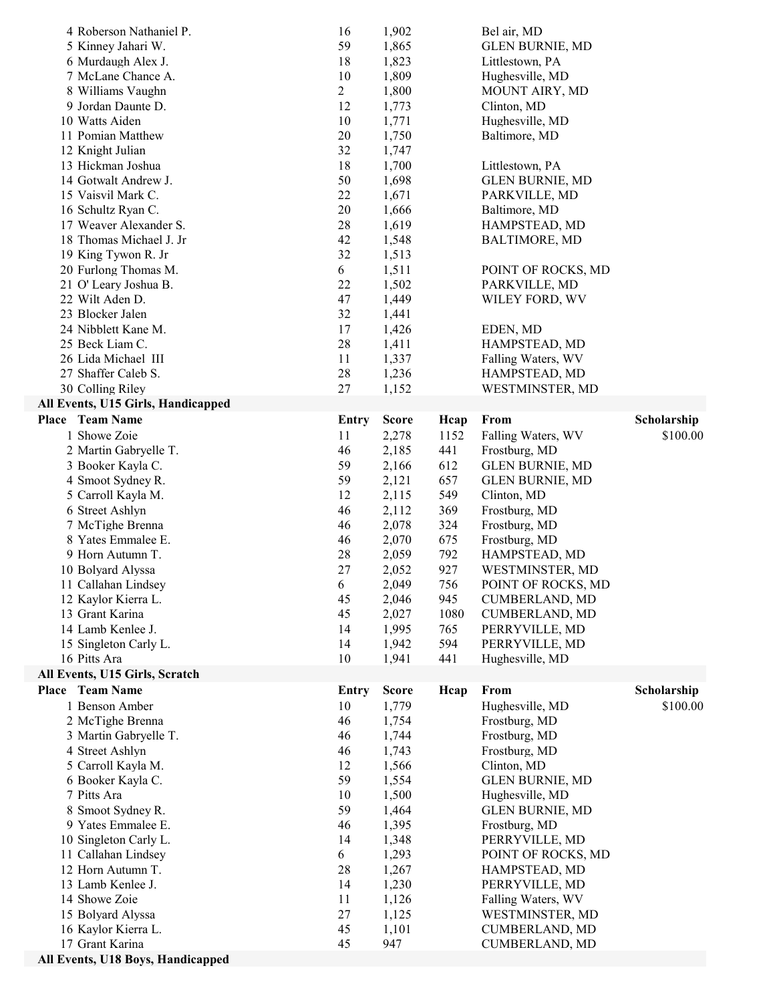| 4 Roberson Nathaniel P.<br>5 Kinney Jahari W.<br>6 Murdaugh Alex J.<br>7 McLane Chance A.<br>8 Williams Vaughn<br>9 Jordan Daunte D.<br>10 Watts Aiden<br>11 Pomian Matthew<br>12 Knight Julian<br>13 Hickman Joshua<br>14 Gotwalt Andrew J.<br>15 Vaisvil Mark C.<br>16 Schultz Ryan C.<br>17 Weaver Alexander S.<br>18 Thomas Michael J. Jr<br>19 King Tywon R. Jr<br>20 Furlong Thomas M.<br>21 O' Leary Joshua B.<br>22 Wilt Aden D.<br>23 Blocker Jalen<br>24 Nibblett Kane M.<br>25 Beck Liam C.<br>26 Lida Michael III<br>27 Shaffer Caleb S.<br>30 Colling Riley<br>All Events, U15 Girls, Handicapped | 16<br>59<br>18<br>10<br>$\overline{c}$<br>12<br>10<br>20<br>32<br>18<br>50<br>22<br>20<br>$28\,$<br>42<br>32<br>6<br>22<br>47<br>32<br>17<br>28<br>11<br>28<br>27 | 1,902<br>1,865<br>1,823<br>1,809<br>1,800<br>1,773<br>1,771<br>1,750<br>1,747<br>1,700<br>1,698<br>1,671<br>1,666<br>1,619<br>1,548<br>1,513<br>1,511<br>1,502<br>1,449<br>1,441<br>1,426<br>1,411<br>1,337<br>1,236<br>1,152 |                                                                                                                        | Bel air, MD<br><b>GLEN BURNIE, MD</b><br>Littlestown, PA<br>Hughesville, MD<br>MOUNT AIRY, MD<br>Clinton, MD<br>Hughesville, MD<br>Baltimore, MD<br>Littlestown, PA<br><b>GLEN BURNIE, MD</b><br>PARKVILLE, MD<br>Baltimore, MD<br>HAMPSTEAD, MD<br><b>BALTIMORE, MD</b><br>POINT OF ROCKS, MD<br>PARKVILLE, MD<br>WILEY FORD, WV<br>EDEN, MD<br>HAMPSTEAD, MD<br>Falling Waters, WV<br>HAMPSTEAD, MD<br>WESTMINSTER, MD |                         |
|----------------------------------------------------------------------------------------------------------------------------------------------------------------------------------------------------------------------------------------------------------------------------------------------------------------------------------------------------------------------------------------------------------------------------------------------------------------------------------------------------------------------------------------------------------------------------------------------------------------|-------------------------------------------------------------------------------------------------------------------------------------------------------------------|-------------------------------------------------------------------------------------------------------------------------------------------------------------------------------------------------------------------------------|------------------------------------------------------------------------------------------------------------------------|--------------------------------------------------------------------------------------------------------------------------------------------------------------------------------------------------------------------------------------------------------------------------------------------------------------------------------------------------------------------------------------------------------------------------|-------------------------|
| <b>Place</b> Team Name<br>1 Showe Zoie<br>2 Martin Gabryelle T.<br>3 Booker Kayla C.<br>4 Smoot Sydney R.<br>5 Carroll Kayla M.<br>6 Street Ashlyn<br>7 McTighe Brenna<br>8 Yates Emmalee E.<br>9 Horn Autumn T.<br>10 Bolyard Alyssa<br>11 Callahan Lindsey<br>12 Kaylor Kierra L.<br>13 Grant Karina<br>14 Lamb Kenlee J.<br>15 Singleton Carly L.<br>16 Pitts Ara                                                                                                                                                                                                                                           | Entry<br>11<br>46<br>59<br>59<br>12<br>46<br>46<br>46<br>28<br>27<br>6<br>45<br>45<br>14<br>14<br>10                                                              | <b>Score</b><br>2,278<br>2,185<br>2,166<br>2,121<br>2,115<br>2,112<br>2,078<br>2,070<br>2,059<br>2,052<br>2,049<br>2,046<br>2,027<br>1,995<br>1,942<br>1,941                                                                  | Hcap<br>1152<br>441<br>612<br>657<br>549<br>369<br>324<br>675<br>792<br>927<br>756<br>945<br>1080<br>765<br>594<br>441 | From<br>Falling Waters, WV<br>Frostburg, MD<br><b>GLEN BURNIE, MD</b><br><b>GLEN BURNIE, MD</b><br>Clinton, MD<br>Frostburg, MD<br>Frostburg, MD<br>Frostburg, MD<br>HAMPSTEAD, MD<br>WESTMINSTER, MD<br>POINT OF ROCKS, MD<br><b>CUMBERLAND, MD</b><br>CUMBERLAND, MD<br>PERRYVILLE, MD<br>PERRYVILLE, MD<br>Hughesville, MD                                                                                            | Scholarship<br>\$100.00 |
| All Events, U15 Girls, Scratch<br>Place Team Name<br>1 Benson Amber<br>2 McTighe Brenna<br>3 Martin Gabryelle T.<br>4 Street Ashlyn<br>5 Carroll Kayla M.<br>6 Booker Kayla C.<br>7 Pitts Ara<br>8 Smoot Sydney R.<br>9 Yates Emmalee E.<br>10 Singleton Carly L.<br>11 Callahan Lindsey<br>12 Horn Autumn T.<br>13 Lamb Kenlee J.<br>14 Showe Zoie<br>15 Bolyard Alyssa<br>16 Kaylor Kierra L.<br>17 Grant Karina<br>All Events, U18 Boys, Handicapped                                                                                                                                                        | Entry<br>10<br>46<br>46<br>46<br>12<br>59<br>10<br>59<br>46<br>14<br>6<br>28<br>14<br>11<br>27<br>45<br>45                                                        | <b>Score</b><br>1,779<br>1,754<br>1,744<br>1,743<br>1,566<br>1,554<br>1,500<br>1,464<br>1,395<br>1,348<br>1,293<br>1,267<br>1,230<br>1,126<br>1,125<br>1,101<br>947                                                           | Heap                                                                                                                   | From<br>Hughesville, MD<br>Frostburg, MD<br>Frostburg, MD<br>Frostburg, MD<br>Clinton, MD<br><b>GLEN BURNIE, MD</b><br>Hughesville, MD<br><b>GLEN BURNIE, MD</b><br>Frostburg, MD<br>PERRYVILLE, MD<br>POINT OF ROCKS, MD<br>HAMPSTEAD, MD<br>PERRYVILLE, MD<br>Falling Waters, WV<br>WESTMINSTER, MD<br><b>CUMBERLAND, MD</b><br><b>CUMBERLAND, MD</b>                                                                  | Scholarship<br>\$100.00 |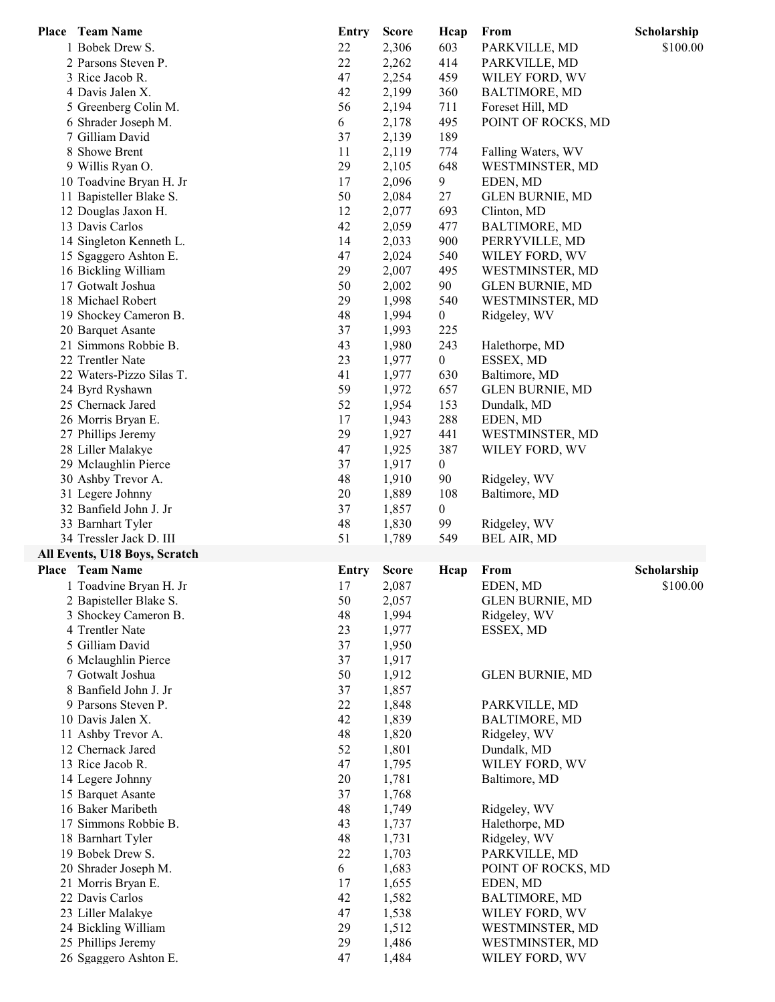| Place Team Name               | <b>Entry</b> | <b>Score</b> | Hcap             | From                   | Scholarship |
|-------------------------------|--------------|--------------|------------------|------------------------|-------------|
| 1 Bobek Drew S.               | 22           | 2,306        | 603              | PARKVILLE, MD          | \$100.00    |
| 2 Parsons Steven P.           | 22           | 2,262        | 414              | PARKVILLE, MD          |             |
| 3 Rice Jacob R.               | 47           | 2,254        | 459              | WILEY FORD, WV         |             |
| 4 Davis Jalen X.              | 42           | 2,199        | 360              | <b>BALTIMORE, MD</b>   |             |
| 5 Greenberg Colin M.          | 56           | 2,194        | 711              | Foreset Hill, MD       |             |
| 6 Shrader Joseph M.           | 6            | 2,178        | 495              | POINT OF ROCKS, MD     |             |
| 7 Gilliam David               | 37           | 2,139        | 189              |                        |             |
| 8 Showe Brent                 | 11           | 2,119        | 774              | Falling Waters, WV     |             |
| 9 Willis Ryan O.              | 29           | 2,105        | 648              | WESTMINSTER, MD        |             |
|                               |              |              |                  |                        |             |
| 10 Toadvine Bryan H. Jr       | 17           | 2,096        | $\overline{9}$   | EDEN, MD               |             |
| 11 Bapisteller Blake S.       | 50           | 2,084        | 27               | <b>GLEN BURNIE, MD</b> |             |
| 12 Douglas Jaxon H.           | 12           | 2,077        | 693              | Clinton, MD            |             |
| 13 Davis Carlos               | 42           | 2,059        | 477              | <b>BALTIMORE, MD</b>   |             |
| 14 Singleton Kenneth L.       | 14           | 2,033        | 900              | PERRYVILLE, MD         |             |
| 15 Sgaggero Ashton E.         | 47           | 2,024        | 540              | WILEY FORD, WV         |             |
| 16 Bickling William           | 29           | 2,007        | 495              | WESTMINSTER, MD        |             |
| 17 Gotwalt Joshua             | 50           | 2,002        | 90               | <b>GLEN BURNIE, MD</b> |             |
| 18 Michael Robert             | 29           | 1,998        | 540              | WESTMINSTER, MD        |             |
| 19 Shockey Cameron B.         | 48           | 1,994        | $\boldsymbol{0}$ | Ridgeley, WV           |             |
| 20 Barquet Asante             | 37           | 1,993        | 225              |                        |             |
| 21 Simmons Robbie B.          | 43           | 1,980        | 243              | Halethorpe, MD         |             |
| 22 Trentler Nate              | 23           | 1,977        | $\boldsymbol{0}$ | ESSEX, MD              |             |
| 22 Waters-Pizzo Silas T.      | 41           | 1,977        | 630              | Baltimore, MD          |             |
| 24 Byrd Ryshawn               | 59           | 1,972        | 657              | <b>GLEN BURNIE, MD</b> |             |
| 25 Chernack Jared             | 52           | 1,954        | 153              |                        |             |
|                               |              |              |                  | Dundalk, MD            |             |
| 26 Morris Bryan E.            | 17           | 1,943        | 288              | EDEN, MD               |             |
| 27 Phillips Jeremy            | 29           | 1,927        | 441              | WESTMINSTER, MD        |             |
| 28 Liller Malakye             | 47           | 1,925        | 387              | WILEY FORD, WV         |             |
| 29 Mclaughlin Pierce          | 37           | 1,917        | $\boldsymbol{0}$ |                        |             |
| 30 Ashby Trevor A.            | 48           | 1,910        | 90               | Ridgeley, WV           |             |
| 31 Legere Johnny              | 20           | 1,889        | 108              | Baltimore, MD          |             |
| 32 Banfield John J. Jr        | 37           | 1,857        | $\boldsymbol{0}$ |                        |             |
| 33 Barnhart Tyler             | 48           | 1,830        | 99               | Ridgeley, WV           |             |
| 34 Tressler Jack D. III       | 51           | 1,789        | 549              | <b>BEL AIR, MD</b>     |             |
| All Events, U18 Boys, Scratch |              |              |                  |                        |             |
| Place Team Name               | <b>Entry</b> | <b>Score</b> | Hcap             | From                   | Scholarship |
| 1 Toadvine Bryan H. Jr        | 17           | 2,087        |                  | EDEN, MD               | \$100.00    |
| 2 Bapisteller Blake S.        | 50           | 2,057        |                  | <b>GLEN BURNIE, MD</b> |             |
| 3 Shockey Cameron B.          | 48           | 1,994        |                  | Ridgeley, WV           |             |
| 4 Trentler Nate               | 23           | 1,977        |                  | ESSEX, MD              |             |
| 5 Gilliam David               | 37           | 1,950        |                  |                        |             |
|                               |              |              |                  |                        |             |
| 6 Mclaughlin Pierce           | 37           | 1,917        |                  |                        |             |
| 7 Gotwalt Joshua              | 50           | 1,912        |                  | <b>GLEN BURNIE, MD</b> |             |
| 8 Banfield John J. Jr         | 37           | 1,857        |                  |                        |             |
| 9 Parsons Steven P.           | 22           | 1,848        |                  | PARKVILLE, MD          |             |
| 10 Davis Jalen X.             | 42           | 1,839        |                  | <b>BALTIMORE, MD</b>   |             |
| 11 Ashby Trevor A.            | 48           | 1,820        |                  | Ridgeley, WV           |             |
| 12 Chernack Jared             | 52           | 1,801        |                  | Dundalk, MD            |             |
| 13 Rice Jacob R.              | 47           | 1,795        |                  | WILEY FORD, WV         |             |
| 14 Legere Johnny              | 20           | 1,781        |                  | Baltimore, MD          |             |
| 15 Barquet Asante             | 37           | 1,768        |                  |                        |             |
| 16 Baker Maribeth             | 48           | 1,749        |                  | Ridgeley, WV           |             |
| 17 Simmons Robbie B.          | 43           | 1,737        |                  | Halethorpe, MD         |             |
| 18 Barnhart Tyler             | 48           | 1,731        |                  | Ridgeley, WV           |             |
| 19 Bobek Drew S.              | 22           | 1,703        |                  | PARKVILLE, MD          |             |
| 20 Shrader Joseph M.          | 6            | 1,683        |                  | POINT OF ROCKS, MD     |             |
|                               |              |              |                  |                        |             |
| 21 Morris Bryan E.            | 17           | 1,655        |                  | EDEN, MD               |             |
| 22 Davis Carlos               | 42           | 1,582        |                  | <b>BALTIMORE, MD</b>   |             |
| 23 Liller Malakye             | 47           | 1,538        |                  | WILEY FORD, WV         |             |
| 24 Bickling William           | 29           | 1,512        |                  | WESTMINSTER, MD        |             |
| 25 Phillips Jeremy            | 29           | 1,486        |                  | WESTMINSTER, MD        |             |
| 26 Sgaggero Ashton E.         | 47           | 1,484        |                  | WILEY FORD, WV         |             |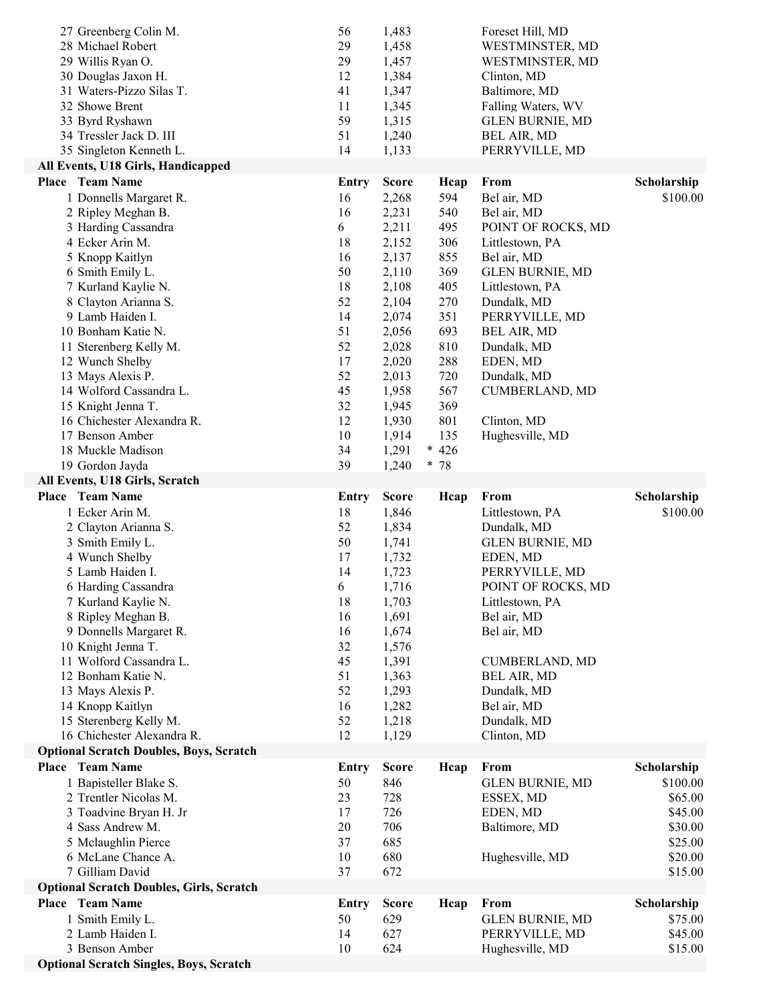| 15 Sterenberg Kelly M.<br>16 Chichester Alexandra R.<br><b>Optional Scratch Doubles, Boys, Scratch</b><br><b>Place</b> Team Name<br>1 Bapisteller Blake S.<br>2 Trentler Nicolas M.<br>3 Toadvine Bryan H. Jr<br>4 Sass Andrew M.<br>5 Mclaughlin Pierce<br>6 McLane Chance A.<br>7 Gilliam David<br><b>Optional Scratch Doubles, Girls, Scratch</b><br>Place Team Name<br>1 Smith Emily L.<br>2 Lamb Haiden I.<br>3 Benson Amber | 52<br>12<br><b>Entry</b><br>50<br>23<br>17<br>20<br>37<br>10<br>37<br><b>Entry</b><br>50<br>14<br>10 | 1,129<br><b>Score</b><br>846<br>728<br>726<br>706<br>685<br>680<br>672<br><b>Score</b><br>629<br>627<br>624 | Hcap<br>Heap | Clinton, MD<br>From<br><b>GLEN BURNIE, MD</b><br>ESSEX, MD<br>EDEN, MD<br>Baltimore, MD<br>Hughesville, MD<br>From<br><b>GLEN BURNIE, MD</b><br>PERRYVILLE, MD<br>Hughesville, MD | Scholarship<br>\$100.00<br>\$65.00<br>\$45.00<br>\$30.00<br>\$25.00<br>\$20.00<br>\$15.00<br>Scholarship<br>\$75.00<br>\$45.00<br>\$15.00 |
|-----------------------------------------------------------------------------------------------------------------------------------------------------------------------------------------------------------------------------------------------------------------------------------------------------------------------------------------------------------------------------------------------------------------------------------|------------------------------------------------------------------------------------------------------|-------------------------------------------------------------------------------------------------------------|--------------|-----------------------------------------------------------------------------------------------------------------------------------------------------------------------------------|-------------------------------------------------------------------------------------------------------------------------------------------|
|                                                                                                                                                                                                                                                                                                                                                                                                                                   |                                                                                                      |                                                                                                             |              |                                                                                                                                                                                   |                                                                                                                                           |
|                                                                                                                                                                                                                                                                                                                                                                                                                                   |                                                                                                      |                                                                                                             |              |                                                                                                                                                                                   |                                                                                                                                           |
|                                                                                                                                                                                                                                                                                                                                                                                                                                   |                                                                                                      |                                                                                                             |              |                                                                                                                                                                                   |                                                                                                                                           |
|                                                                                                                                                                                                                                                                                                                                                                                                                                   |                                                                                                      |                                                                                                             |              |                                                                                                                                                                                   |                                                                                                                                           |
|                                                                                                                                                                                                                                                                                                                                                                                                                                   |                                                                                                      |                                                                                                             |              |                                                                                                                                                                                   |                                                                                                                                           |
|                                                                                                                                                                                                                                                                                                                                                                                                                                   |                                                                                                      |                                                                                                             |              |                                                                                                                                                                                   |                                                                                                                                           |
|                                                                                                                                                                                                                                                                                                                                                                                                                                   |                                                                                                      |                                                                                                             |              |                                                                                                                                                                                   |                                                                                                                                           |
|                                                                                                                                                                                                                                                                                                                                                                                                                                   |                                                                                                      |                                                                                                             |              |                                                                                                                                                                                   |                                                                                                                                           |
|                                                                                                                                                                                                                                                                                                                                                                                                                                   |                                                                                                      |                                                                                                             |              |                                                                                                                                                                                   |                                                                                                                                           |
|                                                                                                                                                                                                                                                                                                                                                                                                                                   |                                                                                                      |                                                                                                             |              |                                                                                                                                                                                   |                                                                                                                                           |
|                                                                                                                                                                                                                                                                                                                                                                                                                                   |                                                                                                      |                                                                                                             |              |                                                                                                                                                                                   |                                                                                                                                           |
|                                                                                                                                                                                                                                                                                                                                                                                                                                   |                                                                                                      |                                                                                                             |              |                                                                                                                                                                                   |                                                                                                                                           |
|                                                                                                                                                                                                                                                                                                                                                                                                                                   |                                                                                                      |                                                                                                             |              |                                                                                                                                                                                   |                                                                                                                                           |
|                                                                                                                                                                                                                                                                                                                                                                                                                                   |                                                                                                      |                                                                                                             |              |                                                                                                                                                                                   |                                                                                                                                           |
|                                                                                                                                                                                                                                                                                                                                                                                                                                   |                                                                                                      | 1,218                                                                                                       |              | Dundalk, MD                                                                                                                                                                       |                                                                                                                                           |
| 14 Knopp Kaitlyn                                                                                                                                                                                                                                                                                                                                                                                                                  | 16                                                                                                   | 1,282                                                                                                       |              | Bel air, MD                                                                                                                                                                       |                                                                                                                                           |
| 13 Mays Alexis P.                                                                                                                                                                                                                                                                                                                                                                                                                 | 52                                                                                                   | 1,293                                                                                                       |              | Dundalk, MD                                                                                                                                                                       |                                                                                                                                           |
| 12 Bonham Katie N.                                                                                                                                                                                                                                                                                                                                                                                                                | 51                                                                                                   | 1,363                                                                                                       |              | <b>BEL AIR, MD</b>                                                                                                                                                                |                                                                                                                                           |
| 11 Wolford Cassandra L.                                                                                                                                                                                                                                                                                                                                                                                                           | 45                                                                                                   | 1,391                                                                                                       |              | <b>CUMBERLAND, MD</b>                                                                                                                                                             |                                                                                                                                           |
| 10 Knight Jenna T.                                                                                                                                                                                                                                                                                                                                                                                                                | 32                                                                                                   | 1,576                                                                                                       |              |                                                                                                                                                                                   |                                                                                                                                           |
| 9 Donnells Margaret R.                                                                                                                                                                                                                                                                                                                                                                                                            | 16                                                                                                   | 1,674                                                                                                       |              | Bel air, MD                                                                                                                                                                       |                                                                                                                                           |
| 8 Ripley Meghan B.                                                                                                                                                                                                                                                                                                                                                                                                                | 16                                                                                                   | 1,691                                                                                                       |              | Bel air, MD                                                                                                                                                                       |                                                                                                                                           |
| 7 Kurland Kaylie N.                                                                                                                                                                                                                                                                                                                                                                                                               | 18                                                                                                   | 1,703                                                                                                       |              | Littlestown, PA                                                                                                                                                                   |                                                                                                                                           |
| 6 Harding Cassandra                                                                                                                                                                                                                                                                                                                                                                                                               | 6                                                                                                    | 1,716                                                                                                       |              | POINT OF ROCKS, MD                                                                                                                                                                |                                                                                                                                           |
| 5 Lamb Haiden I.                                                                                                                                                                                                                                                                                                                                                                                                                  | 14                                                                                                   | 1,723                                                                                                       |              | PERRYVILLE, MD                                                                                                                                                                    |                                                                                                                                           |
| 4 Wunch Shelby                                                                                                                                                                                                                                                                                                                                                                                                                    | 17                                                                                                   | 1,732                                                                                                       |              | EDEN, MD                                                                                                                                                                          |                                                                                                                                           |
| 3 Smith Emily L.                                                                                                                                                                                                                                                                                                                                                                                                                  | 50                                                                                                   | 1,741                                                                                                       |              | <b>GLEN BURNIE, MD</b>                                                                                                                                                            |                                                                                                                                           |
| 2 Clayton Arianna S.                                                                                                                                                                                                                                                                                                                                                                                                              | 52                                                                                                   | 1,834                                                                                                       |              | Dundalk, MD                                                                                                                                                                       |                                                                                                                                           |
| 1 Ecker Arin M.                                                                                                                                                                                                                                                                                                                                                                                                                   | 18                                                                                                   | 1,846                                                                                                       |              | Littlestown, PA                                                                                                                                                                   | \$100.00                                                                                                                                  |
| Place Team Name                                                                                                                                                                                                                                                                                                                                                                                                                   | <b>Entry</b>                                                                                         | <b>Score</b>                                                                                                | Hcap         | From                                                                                                                                                                              | Scholarship                                                                                                                               |
| All Events, U18 Girls, Scratch                                                                                                                                                                                                                                                                                                                                                                                                    |                                                                                                      |                                                                                                             |              |                                                                                                                                                                                   |                                                                                                                                           |
| 19 Gordon Jayda                                                                                                                                                                                                                                                                                                                                                                                                                   | 39                                                                                                   | 1,240                                                                                                       | * 78         |                                                                                                                                                                                   |                                                                                                                                           |
| 18 Muckle Madison                                                                                                                                                                                                                                                                                                                                                                                                                 | 34                                                                                                   | 1,291                                                                                                       | $* 426$      |                                                                                                                                                                                   |                                                                                                                                           |
| 17 Benson Amber                                                                                                                                                                                                                                                                                                                                                                                                                   | 10                                                                                                   | 1,914                                                                                                       | 135          | Hughesville, MD                                                                                                                                                                   |                                                                                                                                           |
| 16 Chichester Alexandra R.                                                                                                                                                                                                                                                                                                                                                                                                        | 12                                                                                                   | 1,930                                                                                                       | 801          | Clinton, MD                                                                                                                                                                       |                                                                                                                                           |
| 15 Knight Jenna T.                                                                                                                                                                                                                                                                                                                                                                                                                | 32                                                                                                   | 1,945                                                                                                       | 369          |                                                                                                                                                                                   |                                                                                                                                           |
| 14 Wolford Cassandra L.                                                                                                                                                                                                                                                                                                                                                                                                           | 45                                                                                                   | 1,958                                                                                                       | 567          | <b>CUMBERLAND, MD</b>                                                                                                                                                             |                                                                                                                                           |
|                                                                                                                                                                                                                                                                                                                                                                                                                                   |                                                                                                      |                                                                                                             |              |                                                                                                                                                                                   |                                                                                                                                           |
| 13 Mays Alexis P.                                                                                                                                                                                                                                                                                                                                                                                                                 | 52                                                                                                   | 2,013                                                                                                       | 720          | Dundalk, MD                                                                                                                                                                       |                                                                                                                                           |
| 12 Wunch Shelby                                                                                                                                                                                                                                                                                                                                                                                                                   | 17                                                                                                   | 2,020                                                                                                       | 288          | EDEN, MD                                                                                                                                                                          |                                                                                                                                           |
| 11 Sterenberg Kelly M.                                                                                                                                                                                                                                                                                                                                                                                                            | 52                                                                                                   | 2,028                                                                                                       | 810          | Dundalk, MD                                                                                                                                                                       |                                                                                                                                           |
| 10 Bonham Katie N.                                                                                                                                                                                                                                                                                                                                                                                                                | 51                                                                                                   | 2,056                                                                                                       | 693          | <b>BEL AIR, MD</b>                                                                                                                                                                |                                                                                                                                           |
| 9 Lamb Haiden I.                                                                                                                                                                                                                                                                                                                                                                                                                  | 14                                                                                                   | 2,074                                                                                                       | 351          | PERRYVILLE, MD                                                                                                                                                                    |                                                                                                                                           |
| 8 Clayton Arianna S.                                                                                                                                                                                                                                                                                                                                                                                                              | 52                                                                                                   | 2,104                                                                                                       | 270          | Dundalk, MD                                                                                                                                                                       |                                                                                                                                           |
| 7 Kurland Kaylie N.                                                                                                                                                                                                                                                                                                                                                                                                               | 18                                                                                                   | 2,108                                                                                                       | 405          | Littlestown, PA                                                                                                                                                                   |                                                                                                                                           |
| 6 Smith Emily L.                                                                                                                                                                                                                                                                                                                                                                                                                  | 50                                                                                                   | 2,110                                                                                                       | 369          | <b>GLEN BURNIE, MD</b>                                                                                                                                                            |                                                                                                                                           |
| 5 Knopp Kaitlyn                                                                                                                                                                                                                                                                                                                                                                                                                   | 16                                                                                                   | 2,137                                                                                                       | 855          | Bel air, MD                                                                                                                                                                       |                                                                                                                                           |
| 4 Ecker Arin M.                                                                                                                                                                                                                                                                                                                                                                                                                   | 18                                                                                                   | 2,152                                                                                                       | 306          | Littlestown, PA                                                                                                                                                                   |                                                                                                                                           |
| 3 Harding Cassandra                                                                                                                                                                                                                                                                                                                                                                                                               | 6                                                                                                    | 2,211                                                                                                       | 495          | POINT OF ROCKS, MD                                                                                                                                                                |                                                                                                                                           |
| 2 Ripley Meghan B.                                                                                                                                                                                                                                                                                                                                                                                                                | 16                                                                                                   | 2,231                                                                                                       | 540          | Bel air, MD                                                                                                                                                                       |                                                                                                                                           |
| 1 Donnells Margaret R.                                                                                                                                                                                                                                                                                                                                                                                                            | 16                                                                                                   | 2,268                                                                                                       | 594          | Bel air, MD                                                                                                                                                                       | \$100.00                                                                                                                                  |
| <b>Place</b> Team Name                                                                                                                                                                                                                                                                                                                                                                                                            | <b>Entry</b>                                                                                         | <b>Score</b>                                                                                                | Hcap         | From                                                                                                                                                                              | Scholarship                                                                                                                               |
| All Events, U18 Girls, Handicapped                                                                                                                                                                                                                                                                                                                                                                                                |                                                                                                      |                                                                                                             |              |                                                                                                                                                                                   |                                                                                                                                           |
| 35 Singleton Kenneth L.                                                                                                                                                                                                                                                                                                                                                                                                           | 14                                                                                                   | 1,133                                                                                                       |              | PERRYVILLE, MD                                                                                                                                                                    |                                                                                                                                           |
| 34 Tressler Jack D. III                                                                                                                                                                                                                                                                                                                                                                                                           | 51                                                                                                   | 1,240                                                                                                       |              | <b>BEL AIR, MD</b>                                                                                                                                                                |                                                                                                                                           |
| 33 Byrd Ryshawn                                                                                                                                                                                                                                                                                                                                                                                                                   | 59                                                                                                   | 1,315                                                                                                       |              | <b>GLEN BURNIE, MD</b>                                                                                                                                                            |                                                                                                                                           |
| 32 Showe Brent                                                                                                                                                                                                                                                                                                                                                                                                                    | 11                                                                                                   | 1,345                                                                                                       |              | Falling Waters, WV                                                                                                                                                                |                                                                                                                                           |
| 31 Waters-Pizzo Silas T.                                                                                                                                                                                                                                                                                                                                                                                                          | 41                                                                                                   | 1,347                                                                                                       |              | Baltimore, MD                                                                                                                                                                     |                                                                                                                                           |
|                                                                                                                                                                                                                                                                                                                                                                                                                                   | 12                                                                                                   | 1,384                                                                                                       |              | Clinton, MD                                                                                                                                                                       |                                                                                                                                           |
| 30 Douglas Jaxon H.                                                                                                                                                                                                                                                                                                                                                                                                               | 29                                                                                                   | 1,457                                                                                                       |              | WESTMINSTER, MD                                                                                                                                                                   |                                                                                                                                           |
| 29 Willis Ryan O.                                                                                                                                                                                                                                                                                                                                                                                                                 |                                                                                                      | 1,458                                                                                                       |              | WESTMINSTER, MD                                                                                                                                                                   |                                                                                                                                           |
| 27 Greenberg Colin M.<br>28 Michael Robert                                                                                                                                                                                                                                                                                                                                                                                        | 56<br>29                                                                                             | 1,483                                                                                                       |              | Foreset Hill, MD                                                                                                                                                                  |                                                                                                                                           |